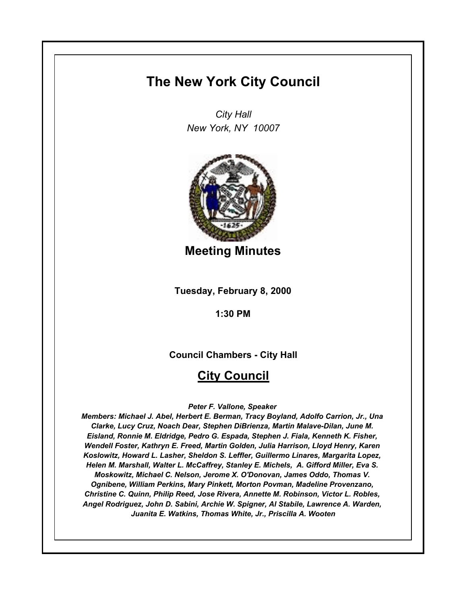# **The New York City Council**

*City Hall New York, NY 10007*



**Meeting Minutes**

**Tuesday, February 8, 2000**

**1:30 PM**

**Council Chambers - City Hall**

# **City Council**

*Peter F. Vallone, Speaker* 

*Members: Michael J. Abel, Herbert E. Berman, Tracy Boyland, Adolfo Carrion, Jr., Una Clarke, Lucy Cruz, Noach Dear, Stephen DiBrienza, Martin Malave-Dilan, June M. Eisland, Ronnie M. Eldridge, Pedro G. Espada, Stephen J. Fiala, Kenneth K. Fisher, Wendell Foster, Kathryn E. Freed, Martin Golden, Julia Harrison, Lloyd Henry, Karen Koslowitz, Howard L. Lasher, Sheldon S. Leffler, Guillermo Linares, Margarita Lopez, Helen M. Marshall, Walter L. McCaffrey, Stanley E. Michels, A. Gifford Miller, Eva S. Moskowitz, Michael C. Nelson, Jerome X. O'Donovan, James Oddo, Thomas V. Ognibene, William Perkins, Mary Pinkett, Morton Povman, Madeline Provenzano, Christine C. Quinn, Philip Reed, Jose Rivera, Annette M. Robinson, Victor L. Robles, Angel Rodriguez, John D. Sabini, Archie W. Spigner, Al Stabile, Lawrence A. Warden, Juanita E. Watkins, Thomas White, Jr., Priscilla A. Wooten*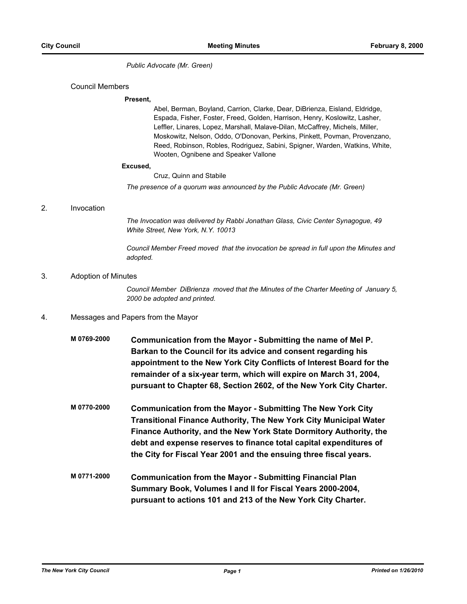*Public Advocate (Mr. Green)*

#### Council Members

#### **Present,**

Abel, Berman, Boyland, Carrion, Clarke, Dear, DiBrienza, Eisland, Eldridge, Espada, Fisher, Foster, Freed, Golden, Harrison, Henry, Koslowitz, Lasher, Leffler, Linares, Lopez, Marshall, Malave-Dilan, McCaffrey, Michels, Miller, Moskowitz, Nelson, Oddo, O'Donovan, Perkins, Pinkett, Povman, Provenzano, Reed, Robinson, Robles, Rodriguez, Sabini, Spigner, Warden, Watkins, White, Wooten, Ognibene and Speaker Vallone

#### **Excused,**

Cruz, Quinn and Stabile

*The presence of a quorum was announced by the Public Advocate (Mr. Green)*

#### 2. Invocation

*The Invocation was delivered by Rabbi Jonathan Glass, Civic Center Synagogue, 49 White Street, New York, N.Y. 10013*

*Council Member Freed moved that the invocation be spread in full upon the Minutes and adopted.*

#### 3. Adoption of Minutes

*Council Member DiBrienza moved that the Minutes of the Charter Meeting of January 5, 2000 be adopted and printed.*

- 4. Messages and Papers from the Mayor
	- **M 0769-2000 Communication from the Mayor Submitting the name of Mel P. Barkan to the Council for its advice and consent regarding his appointment to the New York City Conflicts of Interest Board for the remainder of a six-year term, which will expire on March 31, 2004, pursuant to Chapter 68, Section 2602, of the New York City Charter.**
	- **M 0770-2000 Communication from the Mayor Submitting The New York City Transitional Finance Authority, The New York City Municipal Water Finance Authority, and the New York State Dormitory Authority, the debt and expense reserves to finance total capital expenditures of the City for Fiscal Year 2001 and the ensuing three fiscal years.**
	- **M 0771-2000 Communication from the Mayor Submitting Financial Plan Summary Book, Volumes I and II for Fiscal Years 2000-2004, pursuant to actions 101 and 213 of the New York City Charter.**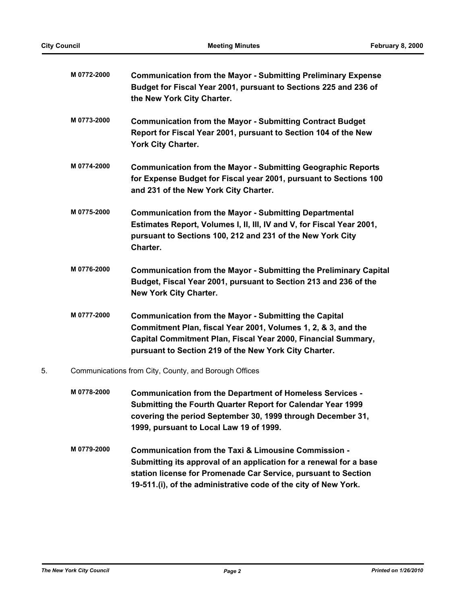|    | M 0772-2000 | <b>Communication from the Mayor - Submitting Preliminary Expense</b><br>Budget for Fiscal Year 2001, pursuant to Sections 225 and 236 of<br>the New York City Charter.                                                                                  |
|----|-------------|---------------------------------------------------------------------------------------------------------------------------------------------------------------------------------------------------------------------------------------------------------|
|    | M 0773-2000 | <b>Communication from the Mayor - Submitting Contract Budget</b><br>Report for Fiscal Year 2001, pursuant to Section 104 of the New<br>York City Charter.                                                                                               |
|    | M 0774-2000 | <b>Communication from the Mayor - Submitting Geographic Reports</b><br>for Expense Budget for Fiscal year 2001, pursuant to Sections 100<br>and 231 of the New York City Charter.                                                                       |
|    | M 0775-2000 | <b>Communication from the Mayor - Submitting Departmental</b><br>Estimates Report, Volumes I, II, III, IV and V, for Fiscal Year 2001,<br>pursuant to Sections 100, 212 and 231 of the New York City<br>Charter.                                        |
|    | M 0776-2000 | Communication from the Mayor - Submitting the Preliminary Capital<br>Budget, Fiscal Year 2001, pursuant to Section 213 and 236 of the<br><b>New York City Charter.</b>                                                                                  |
|    | M 0777-2000 | <b>Communication from the Mayor - Submitting the Capital</b><br>Commitment Plan, fiscal Year 2001, Volumes 1, 2, & 3, and the<br>Capital Commitment Plan, Fiscal Year 2000, Financial Summary,<br>pursuant to Section 219 of the New York City Charter. |
| 5. |             | Communications from City, County, and Borough Offices                                                                                                                                                                                                   |
|    | M 0778-2000 | <b>Communication from the Department of Homeless Services -</b><br>Submitting the Fourth Quarter Report for Calendar Year 1999<br>covering the period September 30, 1999 through December 31,<br>1999, pursuant to Local Law 19 of 1999.                |
|    |             |                                                                                                                                                                                                                                                         |

**M 0779-2000 Communication from the Taxi & Limousine Commission - Submitting its approval of an application for a renewal for a base station license for Promenade Car Service, pursuant to Section 19-511.(i), of the administrative code of the city of New York.**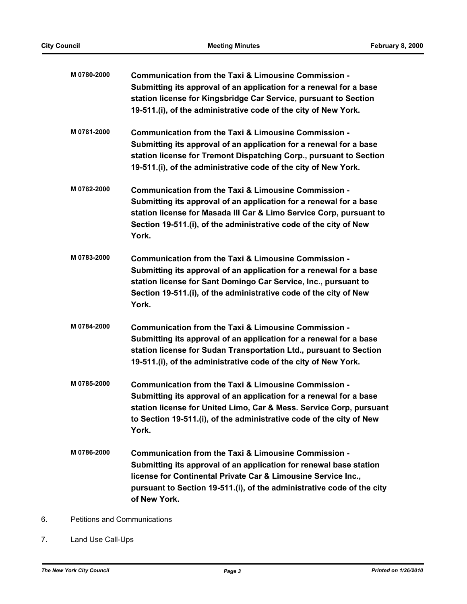| M0780-2000  | Communication from the Taxi & Limousine Commission -<br>Submitting its approval of an application for a renewal for a base<br>station license for Kingsbridge Car Service, pursuant to Section<br>19-511.(i), of the administrative code of the city of New York.                     |
|-------------|---------------------------------------------------------------------------------------------------------------------------------------------------------------------------------------------------------------------------------------------------------------------------------------|
| M 0781-2000 | Communication from the Taxi & Limousine Commission -<br>Submitting its approval of an application for a renewal for a base<br>station license for Tremont Dispatching Corp., pursuant to Section<br>19-511.(i), of the administrative code of the city of New York.                   |
| M 0782-2000 | Communication from the Taxi & Limousine Commission -<br>Submitting its approval of an application for a renewal for a base<br>station license for Masada III Car & Limo Service Corp, pursuant to<br>Section 19-511.(i), of the administrative code of the city of New<br>York.       |
| M 0783-2000 | Communication from the Taxi & Limousine Commission -<br>Submitting its approval of an application for a renewal for a base<br>station license for Sant Domingo Car Service, Inc., pursuant to<br>Section 19-511.(i), of the administrative code of the city of New<br>York.           |
| M 0784-2000 | Communication from the Taxi & Limousine Commission -<br>Submitting its approval of an application for a renewal for a base<br>station license for Sudan Transportation Ltd., pursuant to Section<br>19-511.(i), of the administrative code of the city of New York.                   |
| M 0785-2000 | Communication from the Taxi & Limousine Commission -<br>Submitting its approval of an application for a renewal for a base<br>station license for United Limo, Car & Mess. Service Corp, pursuant<br>to Section 19-511.(i), of the administrative code of the city of New<br>York.    |
| M 0786-2000 | Communication from the Taxi & Limousine Commission -<br>Submitting its approval of an application for renewal base station<br>license for Continental Private Car & Limousine Service Inc.,<br>pursuant to Section 19-511.(i), of the administrative code of the city<br>of New York. |

- 6. Petitions and Communications
- 7. Land Use Call-Ups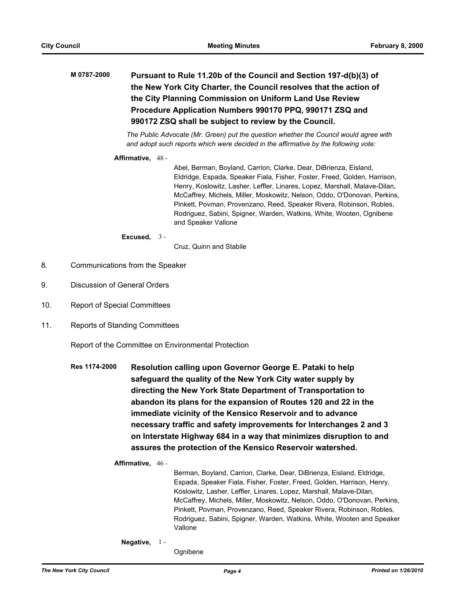# **M 0787-2000 Pursuant to Rule 11.20b of the Council and Section 197-d(b)(3) of the New York City Charter, the Council resolves that the action of the City Planning Commission on Uniform Land Use Review Procedure Application Numbers 990170 PPQ, 990171 ZSQ and 990172 ZSQ shall be subject to review by the Council.**

*The Public Advocate (Mr. Green) put the question whether the Council would agree with and adopt such reports which were decided in the affirmative by the following vote:*

#### **Affirmative,** 48 -

Abel, Berman, Boyland, Carrion, Clarke, Dear, DiBrienza, Eisland, Eldridge, Espada, Speaker Fiala, Fisher, Foster, Freed, Golden, Harrison, Henry, Koslowitz, Lasher, Leffler, Linares, Lopez, Marshall, Malave-Dilan, McCaffrey, Michels, Miller, Moskowitz, Nelson, Oddo, O'Donovan, Perkins, Pinkett, Povman, Provenzano, Reed, Speaker Rivera, Robinson, Robles, Rodriguez, Sabini, Spigner, Warden, Watkins, White, Wooten, Ognibene and Speaker Vallone

#### **Excused,** 3 -

Cruz, Quinn and Stabile

- 8. Communications from the Speaker
- 9. Discussion of General Orders
- 10. Report of Special Committees
- 11. Reports of Standing Committees

Report of the Committee on Environmental Protection

**Res 1174-2000 Resolution calling upon Governor George E. Pataki to help safeguard the quality of the New York City water supply by directing the New York State Department of Transportation to abandon its plans for the expansion of Routes 120 and 22 in the immediate vicinity of the Kensico Reservoir and to advance necessary traffic and safety improvements for Interchanges 2 and 3 on Interstate Highway 684 in a way that minimizes disruption to and assures the protection of the Kensico Reservoir watershed.**

# **Affirmative,** 46 -

Berman, Boyland, Carrion, Clarke, Dear, DiBrienza, Eisland, Eldridge, Espada, Speaker Fiala, Fisher, Foster, Freed, Golden, Harrison, Henry, Koslowitz, Lasher, Leffler, Linares, Lopez, Marshall, Malave-Dilan, McCaffrey, Michels, Miller, Moskowitz, Nelson, Oddo, O'Donovan, Perkins, Pinkett, Povman, Provenzano, Reed, Speaker Rivera, Robinson, Robles, Rodriguez, Sabini, Spigner, Warden, Watkins, White, Wooten and Speaker Vallone

**Negative,** 1 -

Ognibene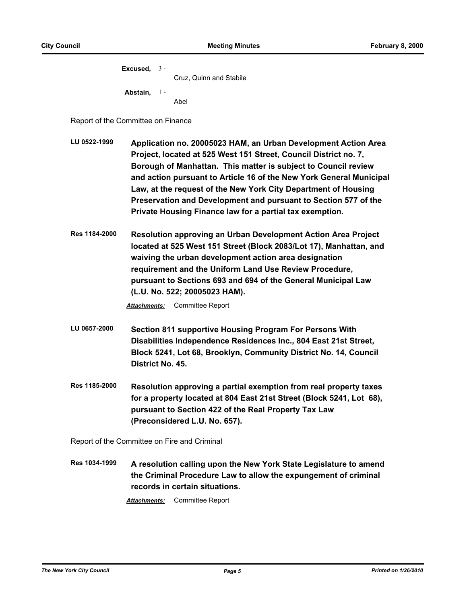**Excused,** 3 - Cruz, Quinn and Stabile **Abstain,** 1 - Abel

Report of the Committee on Finance

- **LU 0522-1999 Application no. 20005023 HAM, an Urban Development Action Area Project, located at 525 West 151 Street, Council District no. 7, Borough of Manhattan. This matter is subject to Council review and action pursuant to Article 16 of the New York General Municipal Law, at the request of the New York City Department of Housing Preservation and Development and pursuant to Section 577 of the Private Housing Finance law for a partial tax exemption.**
- **Res 1184-2000 Resolution approving an Urban Development Action Area Project located at 525 West 151 Street (Block 2083/Lot 17), Manhattan, and waiving the urban development action area designation requirement and the Uniform Land Use Review Procedure, pursuant to Sections 693 and 694 of the General Municipal Law (L.U. No. 522; 20005023 HAM).**

*Attachments:* Committee Report

- **LU 0657-2000 Section 811 supportive Housing Program For Persons With Disabilities Independence Residences Inc., 804 East 21st Street, Block 5241, Lot 68, Brooklyn, Community District No. 14, Council District No. 45.**
- **Res 1185-2000 Resolution approving a partial exemption from real property taxes for a property located at 804 East 21st Street (Block 5241, Lot 68), pursuant to Section 422 of the Real Property Tax Law (Preconsidered L.U. No. 657).**

Report of the Committee on Fire and Criminal

**Res 1034-1999 A resolution calling upon the New York State Legislature to amend the Criminal Procedure Law to allow the expungement of criminal records in certain situations.**

*Attachments:* Committee Report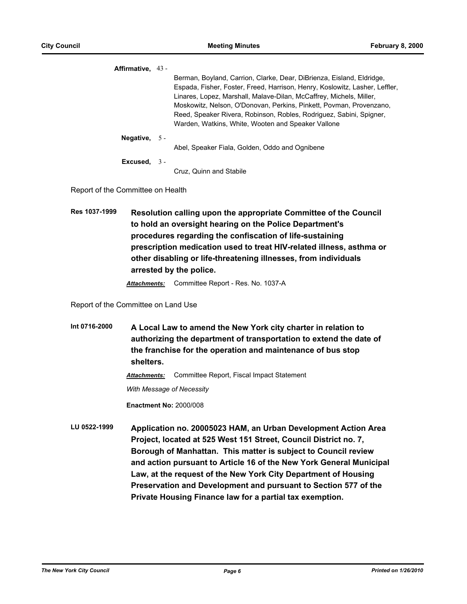| Affirmative. $43 -$ |                                                                                                                                                                                                                                                                                                                                                                                                                                 |
|---------------------|---------------------------------------------------------------------------------------------------------------------------------------------------------------------------------------------------------------------------------------------------------------------------------------------------------------------------------------------------------------------------------------------------------------------------------|
|                     | Berman, Boyland, Carrion, Clarke, Dear, DiBrienza, Eisland, Eldridge,<br>Espada, Fisher, Foster, Freed, Harrison, Henry, Koslowitz, Lasher, Leffler,<br>Linares, Lopez, Marshall, Malave-Dilan, McCaffrey, Michels, Miller,<br>Moskowitz, Nelson, O'Donovan, Perkins, Pinkett, Povman, Provenzano,<br>Reed, Speaker Rivera, Robinson, Robles, Rodriguez, Sabini, Spigner,<br>Warden, Watkins, White, Wooten and Speaker Vallone |
| Negative, $5 -$     |                                                                                                                                                                                                                                                                                                                                                                                                                                 |
|                     |                                                                                                                                                                                                                                                                                                                                                                                                                                 |
| Excused. $3 -$      | Cruz. Quinn and Stabile                                                                                                                                                                                                                                                                                                                                                                                                         |
|                     | Abel, Speaker Fiala, Golden, Oddo and Ognibene                                                                                                                                                                                                                                                                                                                                                                                  |

Report of the Committee on Health

**Res 1037-1999 Resolution calling upon the appropriate Committee of the Council to hold an oversight hearing on the Police Department's procedures regarding the confiscation of life-sustaining prescription medication used to treat HIV-related illness, asthma or other disabling or life-threatening illnesses, from individuals arrested by the police.**

*Attachments:* Committee Report - Res. No. 1037-A

Report of the Committee on Land Use

**Int 0716-2000 A Local Law to amend the New York city charter in relation to authorizing the department of transportation to extend the date of the franchise for the operation and maintenance of bus stop shelters.**

*Attachments:* Committee Report, Fiscal Impact Statement

*With Message of Necessity*

**Enactment No:** 2000/008

**LU 0522-1999 Application no. 20005023 HAM, an Urban Development Action Area Project, located at 525 West 151 Street, Council District no. 7, Borough of Manhattan. This matter is subject to Council review and action pursuant to Article 16 of the New York General Municipal Law, at the request of the New York City Department of Housing Preservation and Development and pursuant to Section 577 of the Private Housing Finance law for a partial tax exemption.**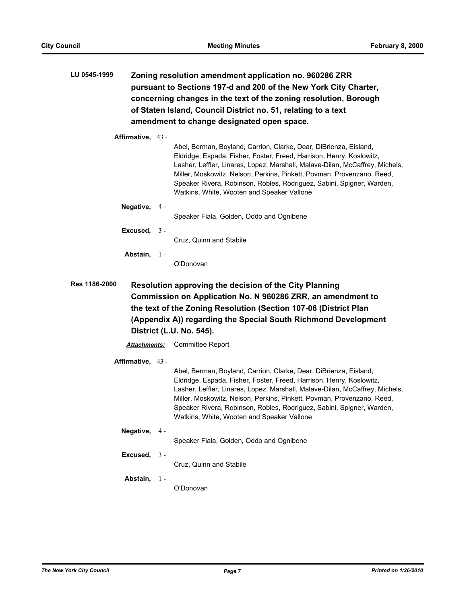| LU 0545-1999      |       | Zoning resolution amendment application no. 960286 ZRR<br>pursuant to Sections 197-d and 200 of the New York City Charter,<br>concerning changes in the text of the zoning resolution, Borough<br>of Staten Island, Council District no. 51, relating to a text<br>amendment to change designated open space.                                                                                                              |
|-------------------|-------|----------------------------------------------------------------------------------------------------------------------------------------------------------------------------------------------------------------------------------------------------------------------------------------------------------------------------------------------------------------------------------------------------------------------------|
| Affirmative, 43 - |       |                                                                                                                                                                                                                                                                                                                                                                                                                            |
|                   |       | Abel, Berman, Boyland, Carrion, Clarke, Dear, DiBrienza, Eisland,<br>Eldridge, Espada, Fisher, Foster, Freed, Harrison, Henry, Koslowitz,<br>Lasher, Leffler, Linares, Lopez, Marshall, Malave-Dilan, McCaffrey, Michels,<br>Miller, Moskowitz, Nelson, Perkins, Pinkett, Povman, Provenzano, Reed,<br>Speaker Rivera, Robinson, Robles, Rodriguez, Sabini, Spigner, Warden,<br>Watkins, White, Wooten and Speaker Vallone |
| Negative,         | 4 -   |                                                                                                                                                                                                                                                                                                                                                                                                                            |
|                   |       | Speaker Fiala, Golden, Oddo and Ognibene                                                                                                                                                                                                                                                                                                                                                                                   |
| Excused,          | $3 -$ |                                                                                                                                                                                                                                                                                                                                                                                                                            |
|                   |       | Cruz, Quinn and Stabile                                                                                                                                                                                                                                                                                                                                                                                                    |
| Abstain,          | $1 -$ |                                                                                                                                                                                                                                                                                                                                                                                                                            |
|                   |       | O'Donovan                                                                                                                                                                                                                                                                                                                                                                                                                  |
| Res 1186-2000     |       | Resolution approving the decision of the City Planning<br>Commission on Application No. N 960286 ZRR, an amendment to<br>the text of the Zoning Resolution (Section 107-06 (District Plan<br>(Appendix A)) regarding the Special South Richmond Development<br>District (L.U. No. 545).                                                                                                                                    |
| Attachments:      |       | <b>Committee Report</b>                                                                                                                                                                                                                                                                                                                                                                                                    |
| Affirmative, 43 - |       | Abel, Berman, Boyland, Carrion, Clarke, Dear, DiBrienza, Eisland,<br>Eldridge, Espada, Fisher, Foster, Freed, Harrison, Henry, Koslowitz,<br>Lasher, Leffler, Linares, Lopez, Marshall, Malave-Dilan, McCaffrey, Michels,<br>Miller, Moskowitz, Nelson, Perkins, Pinkett, Povman, Provenzano, Reed,<br>Speaker Rivera, Robinson, Robles, Rodriguez, Sabini, Spigner, Warden,<br>Watkins, White, Wooten and Speaker Vallone |
| Negative,         | 4 -   |                                                                                                                                                                                                                                                                                                                                                                                                                            |
|                   |       | Speaker Fiala, Golden, Oddo and Ognibene                                                                                                                                                                                                                                                                                                                                                                                   |
| Excused,          | $3 -$ | Cruz, Quinn and Stabile                                                                                                                                                                                                                                                                                                                                                                                                    |
| Abstain,          | $1 -$ | O'Donovan                                                                                                                                                                                                                                                                                                                                                                                                                  |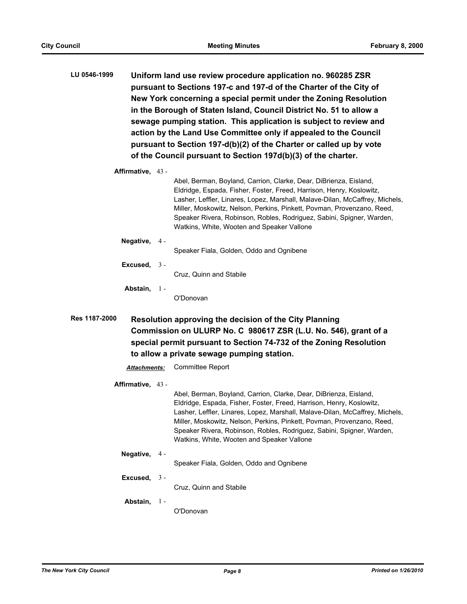**LU 0546-1999 Uniform land use review procedure application no. 960285 ZSR pursuant to Sections 197-c and 197-d of the Charter of the City of New York concerning a special permit under the Zoning Resolution in the Borough of Staten Island, Council District No. 51 to allow a sewage pumping station. This application is subject to review and action by the Land Use Committee only if appealed to the Council pursuant to Section 197-d(b)(2) of the Charter or called up by vote of the Council pursuant to Section 197d(b)(3) of the charter.**

```
Affirmative,
43 -
```
Abel, Berman, Boyland, Carrion, Clarke, Dear, DiBrienza, Eisland, Eldridge, Espada, Fisher, Foster, Freed, Harrison, Henry, Koslowitz, Lasher, Leffler, Linares, Lopez, Marshall, Malave-Dilan, McCaffrey, Michels, Miller, Moskowitz, Nelson, Perkins, Pinkett, Povman, Provenzano, Reed, Speaker Rivera, Robinson, Robles, Rodriguez, Sabini, Spigner, Warden, Watkins, White, Wooten and Speaker Vallone

- **Negative,** 4 Speaker Fiala, Golden, Oddo and Ognibene
- **Excused,** 3 Cruz, Quinn and Stabile

**Abstain,** 1 -

O'Donovan

**Res 1187-2000 Resolution approving the decision of the City Planning Commission on ULURP No. C 980617 ZSR (L.U. No. 546), grant of a special permit pursuant to Section 74-732 of the Zoning Resolution to allow a private sewage pumping station.**

*Attachments:* Committee Report

**Affirmative,** 43 -

Abel, Berman, Boyland, Carrion, Clarke, Dear, DiBrienza, Eisland, Eldridge, Espada, Fisher, Foster, Freed, Harrison, Henry, Koslowitz, Lasher, Leffler, Linares, Lopez, Marshall, Malave-Dilan, McCaffrey, Michels, Miller, Moskowitz, Nelson, Perkins, Pinkett, Povman, Provenzano, Reed, Speaker Rivera, Robinson, Robles, Rodriguez, Sabini, Spigner, Warden, Watkins, White, Wooten and Speaker Vallone

- **Negative,** 4 Speaker Fiala, Golden, Oddo and Ognibene
- **Excused,** 3 -

Cruz, Quinn and Stabile

# **Abstain,** 1 -

O'Donovan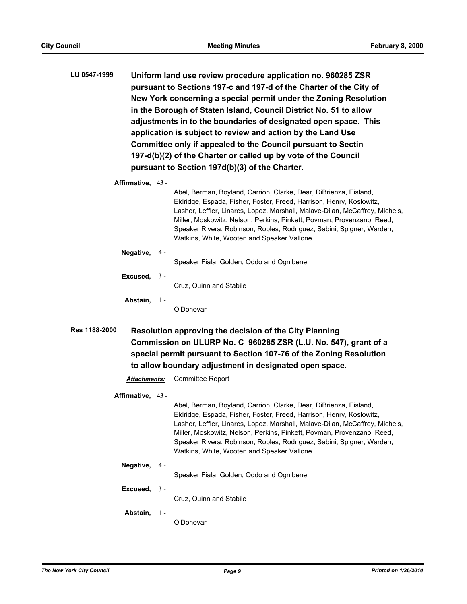| LU 0547-1999 | Uniform land use review procedure application no. 960285 ZSR       |
|--------------|--------------------------------------------------------------------|
|              | pursuant to Sections 197-c and 197-d of the Charter of the City of |
|              | New York concerning a special permit under the Zoning Resolution   |
|              | in the Borough of Staten Island, Council District No. 51 to allow  |
|              | adjustments in to the boundaries of designated open space. This    |
|              | application is subject to review and action by the Land Use        |
|              | Committee only if appealed to the Council pursuant to Sectin       |
|              | 197-d(b)(2) of the Charter or called up by vote of the Council     |
|              | pursuant to Section 197d(b)(3) of the Charter.                     |

**Affirmative,** 43 -

Abel, Berman, Boyland, Carrion, Clarke, Dear, DiBrienza, Eisland, Eldridge, Espada, Fisher, Foster, Freed, Harrison, Henry, Koslowitz, Lasher, Leffler, Linares, Lopez, Marshall, Malave-Dilan, McCaffrey, Michels, Miller, Moskowitz, Nelson, Perkins, Pinkett, Povman, Provenzano, Reed, Speaker Rivera, Robinson, Robles, Rodriguez, Sabini, Spigner, Warden, Watkins, White, Wooten and Speaker Vallone

- **Negative,** 4 Speaker Fiala, Golden, Oddo and Ognibene
- **Excused,**  $3 -$

Cruz, Quinn and Stabile

**Abstain,** O'Donovan 1 -

**Res 1188-2000 Resolution approving the decision of the City Planning Commission on ULURP No. C 960285 ZSR (L.U. No. 547), grant of a special permit pursuant to Section 107-76 of the Zoning Resolution to allow boundary adjustment in designated open space.**

*Attachments:* Committee Report

**Affirmative,** 43 -

Abel, Berman, Boyland, Carrion, Clarke, Dear, DiBrienza, Eisland, Eldridge, Espada, Fisher, Foster, Freed, Harrison, Henry, Koslowitz, Lasher, Leffler, Linares, Lopez, Marshall, Malave-Dilan, McCaffrey, Michels, Miller, Moskowitz, Nelson, Perkins, Pinkett, Povman, Provenzano, Reed, Speaker Rivera, Robinson, Robles, Rodriguez, Sabini, Spigner, Warden, Watkins, White, Wooten and Speaker Vallone

- **Negative,** 4
	- Speaker Fiala, Golden, Oddo and Ognibene
- **Excused,** 3 -

Cruz, Quinn and Stabile

**Abstain,** 1 -

O'Donovan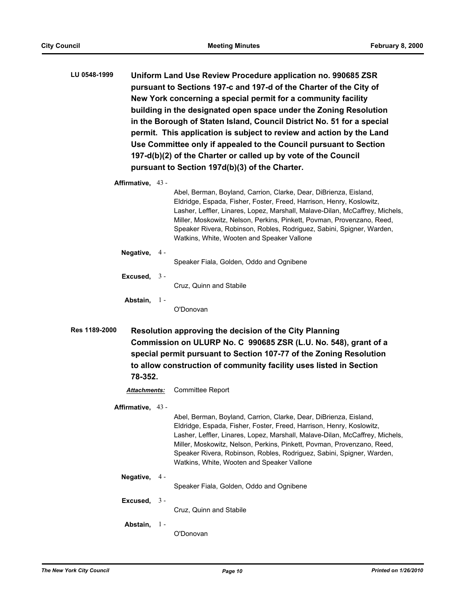| LU 0548-1999  |                     |       | Uniform Land Use Review Procedure application no. 990685 ZSR<br>pursuant to Sections 197-c and 197-d of the Charter of the City of<br>New York concerning a special permit for a community facility<br>building in the designated open space under the Zoning Resolution<br>in the Borough of Staten Island, Council District No. 51 for a special<br>permit. This application is subject to review and action by the Land<br>Use Committee only if appealed to the Council pursuant to Section<br>197-d(b)(2) of the Charter or called up by vote of the Council<br>pursuant to Section 197d(b)(3) of the Charter. |  |  |
|---------------|---------------------|-------|---------------------------------------------------------------------------------------------------------------------------------------------------------------------------------------------------------------------------------------------------------------------------------------------------------------------------------------------------------------------------------------------------------------------------------------------------------------------------------------------------------------------------------------------------------------------------------------------------------------------|--|--|
|               | Affirmative, 43 -   |       | Abel, Berman, Boyland, Carrion, Clarke, Dear, DiBrienza, Eisland,<br>Eldridge, Espada, Fisher, Foster, Freed, Harrison, Henry, Koslowitz,<br>Lasher, Leffler, Linares, Lopez, Marshall, Malave-Dilan, McCaffrey, Michels,<br>Miller, Moskowitz, Nelson, Perkins, Pinkett, Povman, Provenzano, Reed,<br>Speaker Rivera, Robinson, Robles, Rodriguez, Sabini, Spigner, Warden,                                                                                                                                                                                                                                        |  |  |
|               | Negative, 4 -       |       | Watkins, White, Wooten and Speaker Vallone<br>Speaker Fiala, Golden, Oddo and Ognibene                                                                                                                                                                                                                                                                                                                                                                                                                                                                                                                              |  |  |
|               | Excused, $3 -$      |       | Cruz, Quinn and Stabile                                                                                                                                                                                                                                                                                                                                                                                                                                                                                                                                                                                             |  |  |
|               | Abstain, 1-         |       | O'Donovan                                                                                                                                                                                                                                                                                                                                                                                                                                                                                                                                                                                                           |  |  |
| Res 1189-2000 | 78-352.             |       | Resolution approving the decision of the City Planning<br>Commission on ULURP No. C 990685 ZSR (L.U. No. 548), grant of a<br>special permit pursuant to Section 107-77 of the Zoning Resolution<br>to allow construction of community facility uses listed in Section                                                                                                                                                                                                                                                                                                                                               |  |  |
|               | <b>Attachments:</b> |       | <b>Committee Report</b>                                                                                                                                                                                                                                                                                                                                                                                                                                                                                                                                                                                             |  |  |
|               | Affirmative, 43 -   |       | Abel, Berman, Boyland, Carrion, Clarke, Dear, DiBrienza, Eisland,<br>Eldridge, Espada, Fisher, Foster, Freed, Harrison, Henry, Koslowitz,<br>Lasher, Leffler, Linares, Lopez, Marshall, Malave-Dilan, McCaffrey, Michels,<br>Miller, Moskowitz, Nelson, Perkins, Pinkett, Povman, Provenzano, Reed,<br>Speaker Rivera, Robinson, Robles, Rodriguez, Sabini, Spigner, Warden,<br>Watkins, White, Wooten and Speaker Vallone                                                                                                                                                                                          |  |  |
|               | Negative,           | - 4 - | Speaker Fiala, Golden, Oddo and Ognibene                                                                                                                                                                                                                                                                                                                                                                                                                                                                                                                                                                            |  |  |
|               | Excused,            | $3 -$ | Cruz, Quinn and Stabile                                                                                                                                                                                                                                                                                                                                                                                                                                                                                                                                                                                             |  |  |
|               | Abstain, $1 -$      |       | O'Donovan                                                                                                                                                                                                                                                                                                                                                                                                                                                                                                                                                                                                           |  |  |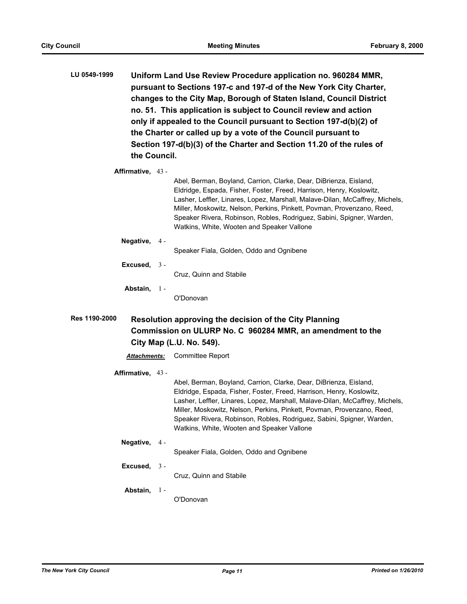**LU 0549-1999 Uniform Land Use Review Procedure application no. 960284 MMR, pursuant to Sections 197-c and 197-d of the New York City Charter, changes to the City Map, Borough of Staten Island, Council District no. 51. This application is subject to Council review and action only if appealed to the Council pursuant to Section 197-d(b)(2) of the Charter or called up by a vote of the Council pursuant to Section 197-d(b)(3) of the Charter and Section 11.20 of the rules of the Council.**

**Affirmative,** 43 -

Abel, Berman, Boyland, Carrion, Clarke, Dear, DiBrienza, Eisland, Eldridge, Espada, Fisher, Foster, Freed, Harrison, Henry, Koslowitz, Lasher, Leffler, Linares, Lopez, Marshall, Malave-Dilan, McCaffrey, Michels, Miller, Moskowitz, Nelson, Perkins, Pinkett, Povman, Provenzano, Reed, Speaker Rivera, Robinson, Robles, Rodriguez, Sabini, Spigner, Warden, Watkins, White, Wooten and Speaker Vallone

- **Negative,** 4 Speaker Fiala, Golden, Oddo and Ognibene
- **Excused,** 3 -

Cruz, Quinn and Stabile

**Abstain,** 1 -

O'Donovan

**Res 1190-2000 Resolution approving the decision of the City Planning Commission on ULURP No. C 960284 MMR, an amendment to the City Map (L.U. No. 549).**

*Attachments:* Committee Report

**Affirmative,** 43 -

Abel, Berman, Boyland, Carrion, Clarke, Dear, DiBrienza, Eisland, Eldridge, Espada, Fisher, Foster, Freed, Harrison, Henry, Koslowitz, Lasher, Leffler, Linares, Lopez, Marshall, Malave-Dilan, McCaffrey, Michels, Miller, Moskowitz, Nelson, Perkins, Pinkett, Povman, Provenzano, Reed, Speaker Rivera, Robinson, Robles, Rodriguez, Sabini, Spigner, Warden, Watkins, White, Wooten and Speaker Vallone

- **Negative,** 4
	- Speaker Fiala, Golden, Oddo and Ognibene
- **Excused,** 3 -

Cruz, Quinn and Stabile

**Abstain,** 1 -

O'Donovan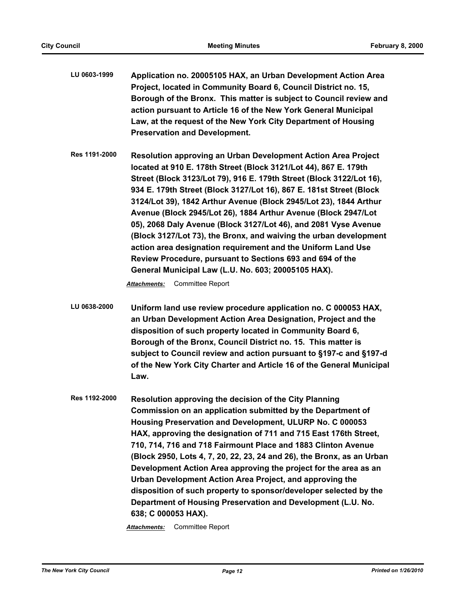| LU 0603-1999 | Application no. 20005105 HAX, an Urban Development Action Area     |
|--------------|--------------------------------------------------------------------|
|              | Project, located in Community Board 6, Council District no. 15,    |
|              | Borough of the Bronx. This matter is subject to Council review and |
|              | action pursuant to Article 16 of the New York General Municipal    |
|              | Law, at the request of the New York City Department of Housing     |
|              | <b>Preservation and Development.</b>                               |

**Res 1191-2000 Resolution approving an Urban Development Action Area Project located at 910 E. 178th Street (Block 3121/Lot 44), 867 E. 179th Street (Block 3123/Lot 79), 916 E. 179th Street (Block 3122/Lot 16), 934 E. 179th Street (Block 3127/Lot 16), 867 E. 181st Street (Block 3124/Lot 39), 1842 Arthur Avenue (Block 2945/Lot 23), 1844 Arthur Avenue (Block 2945/Lot 26), 1884 Arthur Avenue (Block 2947/Lot 05), 2068 Daly Avenue (Block 3127/Lot 46), and 2081 Vyse Avenue (Block 3127/Lot 73), the Bronx, and waiving the urban development action area designation requirement and the Uniform Land Use Review Procedure, pursuant to Sections 693 and 694 of the General Municipal Law (L.U. No. 603; 20005105 HAX).**

*Attachments:* Committee Report

- **LU 0638-2000 Uniform land use review procedure application no. C 000053 HAX, an Urban Development Action Area Designation, Project and the disposition of such property located in Community Board 6, Borough of the Bronx, Council District no. 15. This matter is subject to Council review and action pursuant to §197-c and §197-d of the New York City Charter and Article 16 of the General Municipal Law.**
- **Res 1192-2000 Resolution approving the decision of the City Planning Commission on an application submitted by the Department of Housing Preservation and Development, ULURP No. C 000053 HAX, approving the designation of 711 and 715 East 176th Street, 710, 714, 716 and 718 Fairmount Place and 1883 Clinton Avenue (Block 2950, Lots 4, 7, 20, 22, 23, 24 and 26), the Bronx, as an Urban Development Action Area approving the project for the area as an Urban Development Action Area Project, and approving the disposition of such property to sponsor/developer selected by the Department of Housing Preservation and Development (L.U. No. 638; C 000053 HAX).**

*Attachments:* Committee Report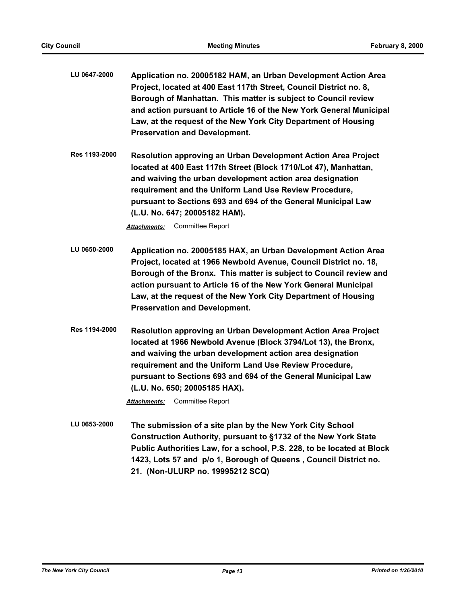**LU 0647-2000 Application no. 20005182 HAM, an Urban Development Action Area Project, located at 400 East 117th Street, Council District no. 8, Borough of Manhattan. This matter is subject to Council review and action pursuant to Article 16 of the New York General Municipal Law, at the request of the New York City Department of Housing Preservation and Development.**

**Res 1193-2000 Resolution approving an Urban Development Action Area Project located at 400 East 117th Street (Block 1710/Lot 47), Manhattan, and waiving the urban development action area designation requirement and the Uniform Land Use Review Procedure, pursuant to Sections 693 and 694 of the General Municipal Law (L.U. No. 647; 20005182 HAM).**

*Attachments:* Committee Report

- **LU 0650-2000 Application no. 20005185 HAX, an Urban Development Action Area Project, located at 1966 Newbold Avenue, Council District no. 18, Borough of the Bronx. This matter is subject to Council review and action pursuant to Article 16 of the New York General Municipal Law, at the request of the New York City Department of Housing Preservation and Development.**
- **Res 1194-2000 Resolution approving an Urban Development Action Area Project located at 1966 Newbold Avenue (Block 3794/Lot 13), the Bronx, and waiving the urban development action area designation requirement and the Uniform Land Use Review Procedure, pursuant to Sections 693 and 694 of the General Municipal Law (L.U. No. 650; 20005185 HAX).**

*Attachments:* Committee Report

**LU 0653-2000 The submission of a site plan by the New York City School Construction Authority, pursuant to §1732 of the New York State Public Authorities Law, for a school, P.S. 228, to be located at Block 1423, Lots 57 and p/o 1, Borough of Queens , Council District no. 21. (Non-ULURP no. 19995212 SCQ)**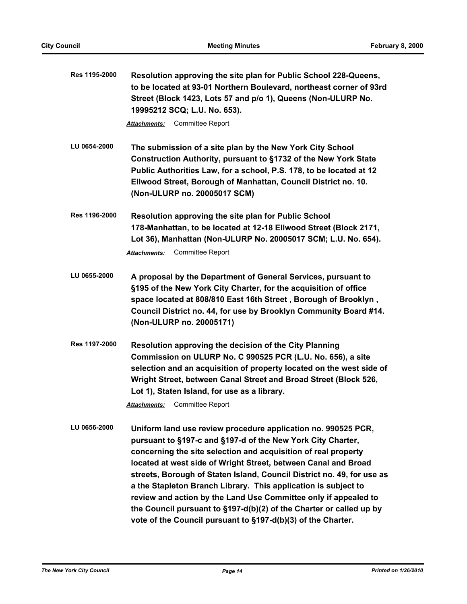| Res 1195-2000        | Resolution approving the site plan for Public School 228-Queens,<br>to be located at 93-01 Northern Boulevard, northeast corner of 93rd<br>Street (Block 1423, Lots 57 and p/o 1), Queens (Non-ULURP No.<br>19995212 SCQ; L.U. No. 653).                                                                                                                                                                                                                                                                                                                                                                               |
|----------------------|------------------------------------------------------------------------------------------------------------------------------------------------------------------------------------------------------------------------------------------------------------------------------------------------------------------------------------------------------------------------------------------------------------------------------------------------------------------------------------------------------------------------------------------------------------------------------------------------------------------------|
|                      | <b>Attachments:</b><br><b>Committee Report</b>                                                                                                                                                                                                                                                                                                                                                                                                                                                                                                                                                                         |
| LU 0654-2000         | The submission of a site plan by the New York City School<br>Construction Authority, pursuant to §1732 of the New York State<br>Public Authorities Law, for a school, P.S. 178, to be located at 12<br>Ellwood Street, Borough of Manhattan, Council District no. 10.<br>(Non-ULURP no. 20005017 SCM)                                                                                                                                                                                                                                                                                                                  |
| <b>Res 1196-2000</b> | <b>Resolution approving the site plan for Public School</b><br>178-Manhattan, to be located at 12-18 Ellwood Street (Block 2171,<br>Lot 36), Manhattan (Non-ULURP No. 20005017 SCM; L.U. No. 654).<br>Committee Report<br><b>Attachments:</b>                                                                                                                                                                                                                                                                                                                                                                          |
| LU 0655-2000         | A proposal by the Department of General Services, pursuant to<br>§195 of the New York City Charter, for the acquisition of office<br>space located at 808/810 East 16th Street, Borough of Brooklyn,<br>Council District no. 44, for use by Brooklyn Community Board #14.<br>(Non-ULURP no. 20005171)                                                                                                                                                                                                                                                                                                                  |
| <b>Res 1197-2000</b> | Resolution approving the decision of the City Planning<br>Commission on ULURP No. C 990525 PCR (L.U. No. 656), a site<br>selection and an acquisition of property located on the west side of<br>Wright Street, between Canal Street and Broad Street (Block 526,<br>Lot 1), Staten Island, for use as a library.<br><b>Committee Report</b><br>Attachments:                                                                                                                                                                                                                                                           |
| LU 0656-2000         | Uniform land use review procedure application no. 990525 PCR,<br>pursuant to §197-c and §197-d of the New York City Charter,<br>concerning the site selection and acquisition of real property<br>located at west side of Wright Street, between Canal and Broad<br>streets, Borough of Staten Island, Council District no. 49, for use as<br>a the Stapleton Branch Library. This application is subject to<br>review and action by the Land Use Committee only if appealed to<br>the Council pursuant to §197-d(b)(2) of the Charter or called up by<br>vote of the Council pursuant to §197-d(b)(3) of the Charter. |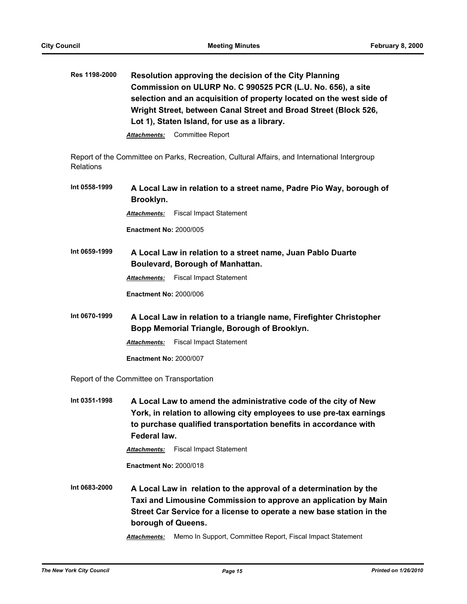**Res 1198-2000 Resolution approving the decision of the City Planning Commission on ULURP No. C 990525 PCR (L.U. No. 656), a site selection and an acquisition of property located on the west side of Wright Street, between Canal Street and Broad Street (Block 526, Lot 1), Staten Island, for use as a library.**

*Attachments:* Committee Report

Report of the Committee on Parks, Recreation, Cultural Affairs, and International Intergroup Relations

**Int 0558-1999 A Local Law in relation to a street name, Padre Pio Way, borough of Brooklyn.** *Attachments:* Fiscal Impact Statement **Enactment No:** 2000/005

**Int 0659-1999 A Local Law in relation to a street name, Juan Pablo Duarte Boulevard, Borough of Manhattan.**

*Attachments:* Fiscal Impact Statement

**Enactment No:** 2000/006

**Int 0670-1999 A Local Law in relation to a triangle name, Firefighter Christopher Bopp Memorial Triangle, Borough of Brooklyn.**

*Attachments:* Fiscal Impact Statement

**Enactment No:** 2000/007

Report of the Committee on Transportation

**Int 0351-1998 A Local Law to amend the administrative code of the city of New York, in relation to allowing city employees to use pre-tax earnings to purchase qualified transportation benefits in accordance with Federal law.**

*Attachments:* Fiscal Impact Statement

**Enactment No:** 2000/018

**Int 0683-2000 A Local Law in relation to the approval of a determination by the Taxi and Limousine Commission to approve an application by Main Street Car Service for a license to operate a new base station in the borough of Queens.**

*Attachments:* Memo In Support, Committee Report, Fiscal Impact Statement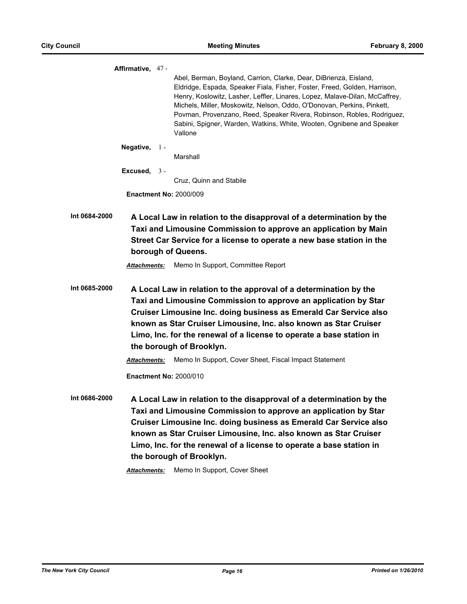|               | Affirmative, 47-    | Abel, Berman, Boyland, Carrion, Clarke, Dear, DiBrienza, Eisland,<br>Eldridge, Espada, Speaker Fiala, Fisher, Foster, Freed, Golden, Harrison,<br>Henry, Koslowitz, Lasher, Leffler, Linares, Lopez, Malave-Dilan, McCaffrey,<br>Michels, Miller, Moskowitz, Nelson, Oddo, O'Donovan, Perkins, Pinkett,<br>Povman, Provenzano, Reed, Speaker Rivera, Robinson, Robles, Rodriguez,<br>Sabini, Spigner, Warden, Watkins, White, Wooten, Ognibene and Speaker<br>Vallone |
|---------------|---------------------|-----------------------------------------------------------------------------------------------------------------------------------------------------------------------------------------------------------------------------------------------------------------------------------------------------------------------------------------------------------------------------------------------------------------------------------------------------------------------|
|               | Negative, 1-        | Marshall                                                                                                                                                                                                                                                                                                                                                                                                                                                              |
|               | Excused, $3 -$      | Cruz, Quinn and Stabile                                                                                                                                                                                                                                                                                                                                                                                                                                               |
|               |                     | <b>Enactment No: 2000/009</b>                                                                                                                                                                                                                                                                                                                                                                                                                                         |
| Int 0684-2000 | Attachments:        | A Local Law in relation to the disapproval of a determination by the<br>Taxi and Limousine Commission to approve an application by Main<br>Street Car Service for a license to operate a new base station in the<br>borough of Queens.<br>Memo In Support, Committee Report                                                                                                                                                                                           |
| Int 0685-2000 | <b>Attachments:</b> | A Local Law in relation to the approval of a determination by the<br>Taxi and Limousine Commission to approve an application by Star<br>Cruiser Limousine Inc. doing business as Emerald Car Service also<br>known as Star Cruiser Limousine, Inc. also known as Star Cruiser<br>Limo, Inc. for the renewal of a license to operate a base station in<br>the borough of Brooklyn.<br>Memo In Support, Cover Sheet, Fiscal Impact Statement                            |
|               |                     | <b>Enactment No: 2000/010</b>                                                                                                                                                                                                                                                                                                                                                                                                                                         |
| Int 0686-2000 |                     | A Local Law in relation to the disapproval of a determination by the<br>Taxi and Limousine Commission to approve an application by Star<br>Cruiser Limousine Inc. doing business as Emerald Car Service also<br>known as Star Cruiser Limousine, Inc. also known as Star Cruiser<br>Limo, Inc. for the renewal of a license to operate a base station in<br>the borough of Brooklyn.                                                                                  |

*Attachments:* Memo In Support, Cover Sheet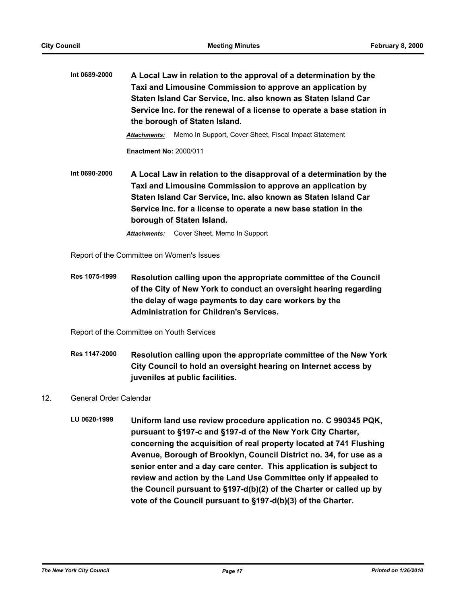**Int 0689-2000 A Local Law in relation to the approval of a determination by the Taxi and Limousine Commission to approve an application by Staten Island Car Service, Inc. also known as Staten Island Car Service Inc. for the renewal of a license to operate a base station in the borough of Staten Island.**

*Attachments:* Memo In Support, Cover Sheet, Fiscal Impact Statement

**Enactment No:** 2000/011

**Int 0690-2000 A Local Law in relation to the disapproval of a determination by the Taxi and Limousine Commission to approve an application by Staten Island Car Service, Inc. also known as Staten Island Car Service Inc. for a license to operate a new base station in the borough of Staten Island.**

*Attachments:* Cover Sheet, Memo In Support

Report of the Committee on Women's Issues

**Res 1075-1999 Resolution calling upon the appropriate committee of the Council of the City of New York to conduct an oversight hearing regarding the delay of wage payments to day care workers by the Administration for Children's Services.**

Report of the Committee on Youth Services

**Res 1147-2000 Resolution calling upon the appropriate committee of the New York City Council to hold an oversight hearing on Internet access by juveniles at public facilities.**

# 12. General Order Calendar

**LU 0620-1999 Uniform land use review procedure application no. C 990345 PQK, pursuant to §197-c and §197-d of the New York City Charter, concerning the acquisition of real property located at 741 Flushing Avenue, Borough of Brooklyn, Council District no. 34, for use as a senior enter and a day care center. This application is subject to review and action by the Land Use Committee only if appealed to the Council pursuant to §197-d(b)(2) of the Charter or called up by vote of the Council pursuant to §197-d(b)(3) of the Charter.**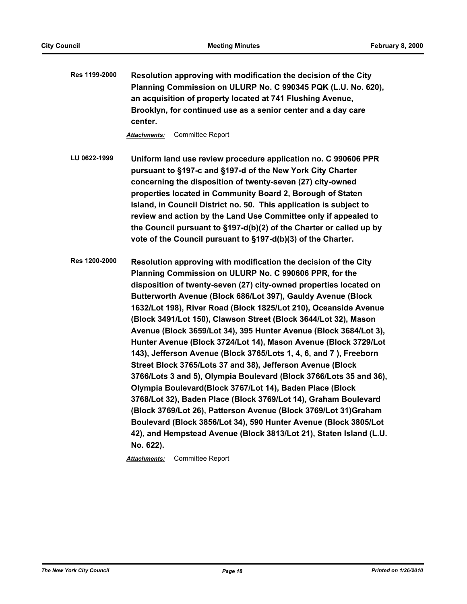**Res 1199-2000 Resolution approving with modification the decision of the City Planning Commission on ULURP No. C 990345 PQK (L.U. No. 620), an acquisition of property located at 741 Flushing Avenue, Brooklyn, for continued use as a senior center and a day care center.**

*Attachments:* Committee Report

**LU 0622-1999 Uniform land use review procedure application no. C 990606 PPR pursuant to §197-c and §197-d of the New York City Charter concerning the disposition of twenty-seven (27) city-owned properties located in Community Board 2, Borough of Staten Island, in Council District no. 50. This application is subject to review and action by the Land Use Committee only if appealed to the Council pursuant to §197-d(b)(2) of the Charter or called up by vote of the Council pursuant to §197-d(b)(3) of the Charter.**

**Res 1200-2000 Resolution approving with modification the decision of the City Planning Commission on ULURP No. C 990606 PPR, for the disposition of twenty-seven (27) city-owned properties located on Butterworth Avenue (Block 686/Lot 397), Gauldy Avenue (Block 1632/Lot 198), River Road (Block 1825/Lot 210), Oceanside Avenue (Block 3491/Lot 150), Clawson Street (Block 3644/Lot 32), Mason Avenue (Block 3659/Lot 34), 395 Hunter Avenue (Block 3684/Lot 3), Hunter Avenue (Block 3724/Lot 14), Mason Avenue (Block 3729/Lot 143), Jefferson Avenue (Block 3765/Lots 1, 4, 6, and 7 ), Freeborn Street Block 3765/Lots 37 and 38), Jefferson Avenue (Block 3766/Lots 3 and 5), Olympia Boulevard (Block 3766/Lots 35 and 36), Olympia Boulevard(Block 3767/Lot 14), Baden Place (Block 3768/Lot 32), Baden Place (Block 3769/Lot 14), Graham Boulevard (Block 3769/Lot 26), Patterson Avenue (Block 3769/Lot 31)Graham Boulevard (Block 3856/Lot 34), 590 Hunter Avenue (Block 3805/Lot 42), and Hempstead Avenue (Block 3813/Lot 21), Staten Island (L.U. No. 622).**

*Attachments:* Committee Report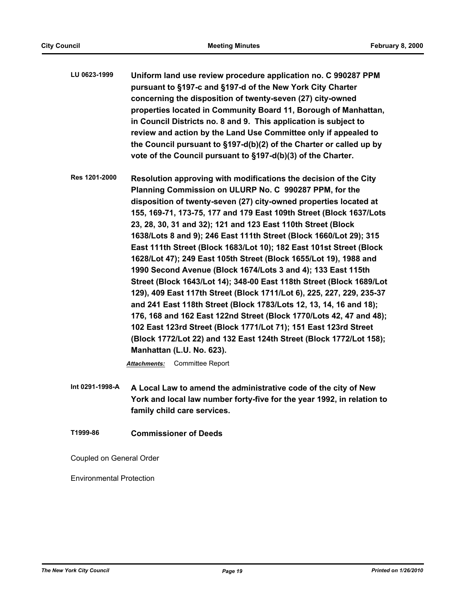- **LU 0623-1999 Uniform land use review procedure application no. C 990287 PPM pursuant to §197-c and §197-d of the New York City Charter concerning the disposition of twenty-seven (27) city-owned properties located in Community Board 11, Borough of Manhattan, in Council Districts no. 8 and 9. This application is subject to review and action by the Land Use Committee only if appealed to the Council pursuant to §197-d(b)(2) of the Charter or called up by vote of the Council pursuant to §197-d(b)(3) of the Charter.**
- **Res 1201-2000 Resolution approving with modifications the decision of the City Planning Commission on ULURP No. C 990287 PPM, for the disposition of twenty-seven (27) city-owned properties located at 155, 169-71, 173-75, 177 and 179 East 109th Street (Block 1637/Lots 23, 28, 30, 31 and 32); 121 and 123 East 110th Street (Block 1638/Lots 8 and 9); 246 East 111th Street (Block 1660/Lot 29); 315 East 111th Street (Block 1683/Lot 10); 182 East 101st Street (Block 1628/Lot 47); 249 East 105th Street (Block 1655/Lot 19), 1988 and 1990 Second Avenue (Block 1674/Lots 3 and 4); 133 East 115th Street (Block 1643/Lot 14); 348-00 East 118th Street (Block 1689/Lot 129), 409 East 117th Street (Block 1711/Lot 6), 225, 227, 229, 235-37 and 241 East 118th Street (Block 1783/Lots 12, 13, 14, 16 and 18); 176, 168 and 162 East 122nd Street (Block 1770/Lots 42, 47 and 48); 102 East 123rd Street (Block 1771/Lot 71); 151 East 123rd Street (Block 1772/Lot 22) and 132 East 124th Street (Block 1772/Lot 158); Manhattan (L.U. No. 623).**

*Attachments:* Committee Report

- **Int 0291-1998-A A Local Law to amend the administrative code of the city of New York and local law number forty-five for the year 1992, in relation to family child care services.**
- **T1999-86 Commissioner of Deeds**

Coupled on General Order

Environmental Protection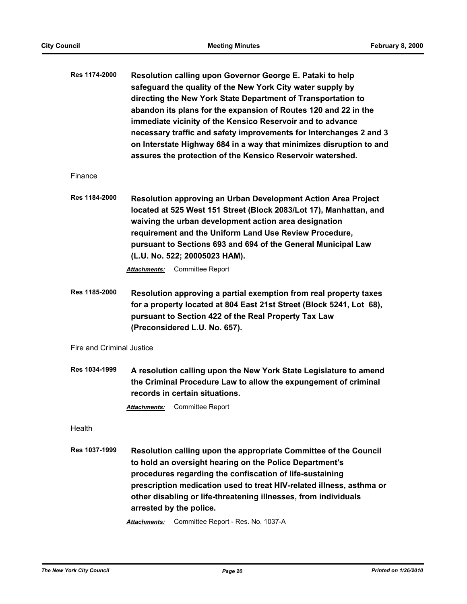| Res 1174-2000 | Resolution calling upon Governor George E. Pataki to help           |
|---------------|---------------------------------------------------------------------|
|               | safeguard the quality of the New York City water supply by          |
|               | directing the New York State Department of Transportation to        |
|               | abandon its plans for the expansion of Routes 120 and 22 in the     |
|               | immediate vicinity of the Kensico Reservoir and to advance          |
|               | necessary traffic and safety improvements for Interchanges 2 and 3  |
|               | on Interstate Highway 684 in a way that minimizes disruption to and |
|               | assures the protection of the Kensico Reservoir watershed.          |

Finance

**Res 1184-2000 Resolution approving an Urban Development Action Area Project located at 525 West 151 Street (Block 2083/Lot 17), Manhattan, and waiving the urban development action area designation requirement and the Uniform Land Use Review Procedure, pursuant to Sections 693 and 694 of the General Municipal Law (L.U. No. 522; 20005023 HAM).**

*Attachments:* Committee Report

**Res 1185-2000 Resolution approving a partial exemption from real property taxes for a property located at 804 East 21st Street (Block 5241, Lot 68), pursuant to Section 422 of the Real Property Tax Law (Preconsidered L.U. No. 657).**

### Fire and Criminal Justice

**Res 1034-1999 A resolution calling upon the New York State Legislature to amend the Criminal Procedure Law to allow the expungement of criminal records in certain situations.**

*Attachments:* Committee Report

Health

**Res 1037-1999 Resolution calling upon the appropriate Committee of the Council to hold an oversight hearing on the Police Department's procedures regarding the confiscation of life-sustaining prescription medication used to treat HIV-related illness, asthma or other disabling or life-threatening illnesses, from individuals arrested by the police.**

*Attachments:* Committee Report - Res. No. 1037-A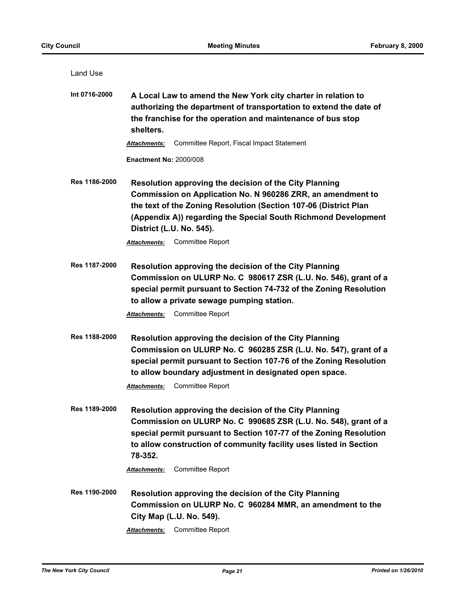| <b>Land Use</b>      |                                                                                                                                                                                                                                                                                                      |
|----------------------|------------------------------------------------------------------------------------------------------------------------------------------------------------------------------------------------------------------------------------------------------------------------------------------------------|
| Int 0716-2000        | A Local Law to amend the New York city charter in relation to<br>authorizing the department of transportation to extend the date of<br>the franchise for the operation and maintenance of bus stop<br>shelters.                                                                                      |
|                      | Committee Report, Fiscal Impact Statement<br><b>Attachments:</b>                                                                                                                                                                                                                                     |
|                      | <b>Enactment No: 2000/008</b>                                                                                                                                                                                                                                                                        |
| Res 1186-2000        | Resolution approving the decision of the City Planning<br>Commission on Application No. N 960286 ZRR, an amendment to<br>the text of the Zoning Resolution (Section 107-06 (District Plan<br>(Appendix A)) regarding the Special South Richmond Development<br>District (L.U. No. 545).              |
|                      | <b>Attachments:</b> Committee Report                                                                                                                                                                                                                                                                 |
| <b>Res 1187-2000</b> | Resolution approving the decision of the City Planning<br>Commission on ULURP No. C 980617 ZSR (L.U. No. 546), grant of a<br>special permit pursuant to Section 74-732 of the Zoning Resolution<br>to allow a private sewage pumping station.<br><b>Committee Report</b><br><b>Attachments:</b>      |
| Res 1188-2000        | <b>Resolution approving the decision of the City Planning</b><br>Commission on ULURP No. C 960285 ZSR (L.U. No. 547), grant of a<br>special permit pursuant to Section 107-76 of the Zoning Resolution<br>to allow boundary adjustment in designated open space.<br>Committee Report<br>Attachments: |
| Res 1189-2000        | Resolution approving the decision of the City Planning<br>Commission on ULURP No. C 990685 ZSR (L.U. No. 548), grant of a<br>special permit pursuant to Section 107-77 of the Zoning Resolution<br>to allow construction of community facility uses listed in Section<br>78-352.                     |
|                      | Committee Report<br>Attachments:                                                                                                                                                                                                                                                                     |
| Res 1190-2000        | Resolution approving the decision of the City Planning<br>Commission on ULURP No. C 960284 MMR, an amendment to the<br>City Map (L.U. No. 549).                                                                                                                                                      |
|                      | <b>Committee Report</b><br><u>Attachments:</u>                                                                                                                                                                                                                                                       |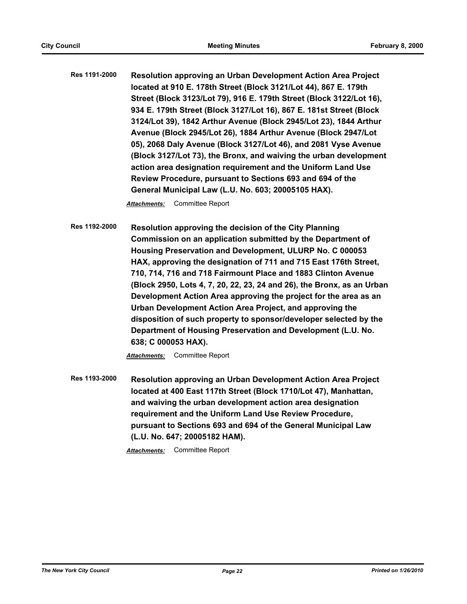**Res 1191-2000 Resolution approving an Urban Development Action Area Project located at 910 E. 178th Street (Block 3121/Lot 44), 867 E. 179th Street (Block 3123/Lot 79), 916 E. 179th Street (Block 3122/Lot 16), 934 E. 179th Street (Block 3127/Lot 16), 867 E. 181st Street (Block 3124/Lot 39), 1842 Arthur Avenue (Block 2945/Lot 23), 1844 Arthur Avenue (Block 2945/Lot 26), 1884 Arthur Avenue (Block 2947/Lot 05), 2068 Daly Avenue (Block 3127/Lot 46), and 2081 Vyse Avenue (Block 3127/Lot 73), the Bronx, and waiving the urban development action area designation requirement and the Uniform Land Use Review Procedure, pursuant to Sections 693 and 694 of the General Municipal Law (L.U. No. 603; 20005105 HAX).**

*Attachments:* Committee Report

**Res 1192-2000 Resolution approving the decision of the City Planning Commission on an application submitted by the Department of Housing Preservation and Development, ULURP No. C 000053 HAX, approving the designation of 711 and 715 East 176th Street, 710, 714, 716 and 718 Fairmount Place and 1883 Clinton Avenue (Block 2950, Lots 4, 7, 20, 22, 23, 24 and 26), the Bronx, as an Urban Development Action Area approving the project for the area as an Urban Development Action Area Project, and approving the disposition of such property to sponsor/developer selected by the Department of Housing Preservation and Development (L.U. No. 638; C 000053 HAX).**

*Attachments:* Committee Report

**Res 1193-2000 Resolution approving an Urban Development Action Area Project located at 400 East 117th Street (Block 1710/Lot 47), Manhattan, and waiving the urban development action area designation requirement and the Uniform Land Use Review Procedure, pursuant to Sections 693 and 694 of the General Municipal Law (L.U. No. 647; 20005182 HAM).**

*Attachments:* Committee Report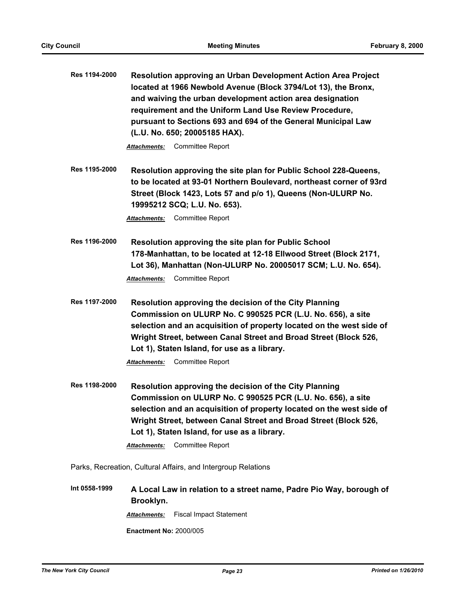| Res 1194-2000        | <b>Resolution approving an Urban Development Action Area Project</b><br>located at 1966 Newbold Avenue (Block 3794/Lot 13), the Bronx,<br>and waiving the urban development action area designation<br>requirement and the Uniform Land Use Review Procedure,<br>pursuant to Sections 693 and 694 of the General Municipal Law<br>(L.U. No. 650; 20005185 HAX). |
|----------------------|-----------------------------------------------------------------------------------------------------------------------------------------------------------------------------------------------------------------------------------------------------------------------------------------------------------------------------------------------------------------|
|                      | <b>Committee Report</b><br><b>Attachments:</b>                                                                                                                                                                                                                                                                                                                  |
| Res 1195-2000        | Resolution approving the site plan for Public School 228-Queens,<br>to be located at 93-01 Northern Boulevard, northeast corner of 93rd<br>Street (Block 1423, Lots 57 and p/o 1), Queens (Non-ULURP No.<br>19995212 SCQ; L.U. No. 653).                                                                                                                        |
|                      | Committee Report<br>Attachments:                                                                                                                                                                                                                                                                                                                                |
| Res 1196-2000        | Resolution approving the site plan for Public School<br>178-Manhattan, to be located at 12-18 Ellwood Street (Block 2171,<br>Lot 36), Manhattan (Non-ULURP No. 20005017 SCM; L.U. No. 654).<br><b>Committee Report</b><br><b>Attachments:</b>                                                                                                                   |
| <b>Res 1197-2000</b> | Resolution approving the decision of the City Planning<br>Commission on ULURP No. C 990525 PCR (L.U. No. 656), a site<br>selection and an acquisition of property located on the west side of<br>Wright Street, between Canal Street and Broad Street (Block 526,<br>Lot 1), Staten Island, for use as a library.<br><b>Attachments:</b> Committee Report       |
| Res 1198-2000        | <b>Resolution approving the decision of the City Planning</b><br>Commission on ULURP No. C 990525 PCR (L.U. No. 656), a site<br>selection and an acquisition of property located on the west side of<br>Wright Street, between Canal Street and Broad Street (Block 526,<br>Lot 1), Staten Island, for use as a library.                                        |
|                      | Committee Report<br><b>Attachments:</b>                                                                                                                                                                                                                                                                                                                         |
|                      | Parks, Recreation, Cultural Affairs, and Intergroup Relations                                                                                                                                                                                                                                                                                                   |

**Int 0558-1999 A Local Law in relation to a street name, Padre Pio Way, borough of Brooklyn.** *Attachments:* Fiscal Impact Statement **Enactment No:** 2000/005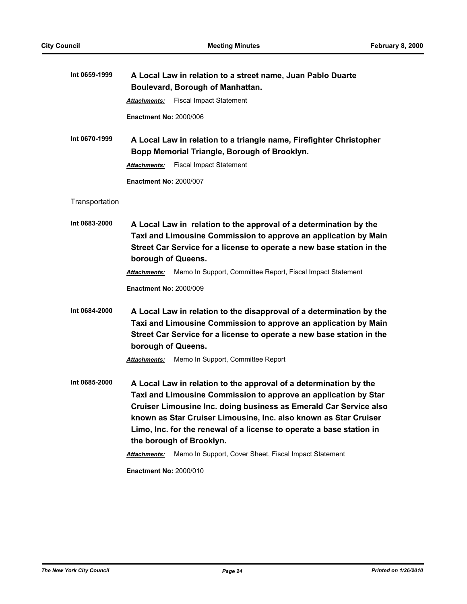| Int 0659-1999  | A Local Law in relation to a street name, Juan Pablo Duarte<br>Boulevard, Borough of Manhattan.                                                                                                                                                                                                                                                                                   |  |  |
|----------------|-----------------------------------------------------------------------------------------------------------------------------------------------------------------------------------------------------------------------------------------------------------------------------------------------------------------------------------------------------------------------------------|--|--|
|                | <b>Fiscal Impact Statement</b><br><b>Attachments:</b>                                                                                                                                                                                                                                                                                                                             |  |  |
|                | <b>Enactment No: 2000/006</b>                                                                                                                                                                                                                                                                                                                                                     |  |  |
| Int 0670-1999  | A Local Law in relation to a triangle name, Firefighter Christopher<br>Bopp Memorial Triangle, Borough of Brooklyn.                                                                                                                                                                                                                                                               |  |  |
|                | <b>Fiscal Impact Statement</b><br><b>Attachments:</b>                                                                                                                                                                                                                                                                                                                             |  |  |
|                | <b>Enactment No: 2000/007</b>                                                                                                                                                                                                                                                                                                                                                     |  |  |
| Transportation |                                                                                                                                                                                                                                                                                                                                                                                   |  |  |
| Int 0683-2000  | A Local Law in relation to the approval of a determination by the<br>Taxi and Limousine Commission to approve an application by Main<br>Street Car Service for a license to operate a new base station in the<br>borough of Queens.                                                                                                                                               |  |  |
|                | Memo In Support, Committee Report, Fiscal Impact Statement<br><b>Attachments:</b>                                                                                                                                                                                                                                                                                                 |  |  |
|                | <b>Enactment No: 2000/009</b>                                                                                                                                                                                                                                                                                                                                                     |  |  |
| Int 0684-2000  | A Local Law in relation to the disapproval of a determination by the<br>Taxi and Limousine Commission to approve an application by Main<br>Street Car Service for a license to operate a new base station in the<br>borough of Queens.                                                                                                                                            |  |  |
|                | Memo In Support, Committee Report<br><b>Attachments:</b>                                                                                                                                                                                                                                                                                                                          |  |  |
| Int 0685-2000  | A Local Law in relation to the approval of a determination by the<br>Taxi and Limousine Commission to approve an application by Star<br>Cruiser Limousine Inc. doing business as Emerald Car Service also<br>known as Star Cruiser Limousine, Inc. also known as Star Cruiser<br>Limo, Inc. for the renewal of a license to operate a base station in<br>the borough of Brooklyn. |  |  |
|                | Memo In Support, Cover Sheet, Fiscal Impact Statement<br><b>Attachments:</b>                                                                                                                                                                                                                                                                                                      |  |  |
|                | <b>Enactment No: 2000/010</b>                                                                                                                                                                                                                                                                                                                                                     |  |  |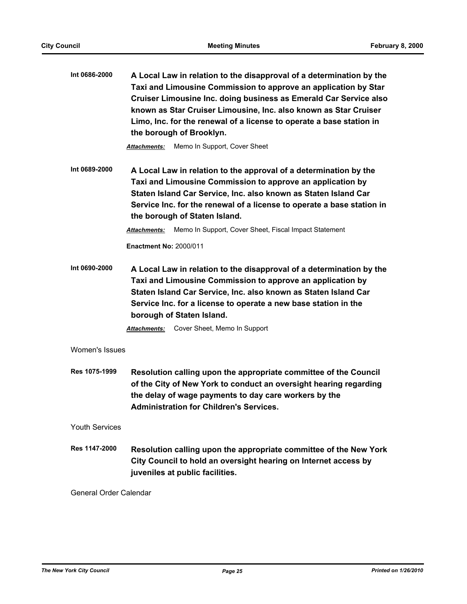| Int 0686-2000 | A Local Law in relation to the disapproval of a determination by the |
|---------------|----------------------------------------------------------------------|
|               | Taxi and Limousine Commission to approve an application by Star      |
|               | Cruiser Limousine Inc. doing business as Emerald Car Service also    |
|               | known as Star Cruiser Limousine, Inc. also known as Star Cruiser     |
|               | Limo, Inc. for the renewal of a license to operate a base station in |
|               | the borough of Brooklyn.                                             |

*Attachments:* Memo In Support, Cover Sheet

**Int 0689-2000 A Local Law in relation to the approval of a determination by the Taxi and Limousine Commission to approve an application by Staten Island Car Service, Inc. also known as Staten Island Car Service Inc. for the renewal of a license to operate a base station in the borough of Staten Island.**

*Attachments:* Memo In Support, Cover Sheet, Fiscal Impact Statement

**Enactment No:** 2000/011

**Int 0690-2000 A Local Law in relation to the disapproval of a determination by the Taxi and Limousine Commission to approve an application by Staten Island Car Service, Inc. also known as Staten Island Car Service Inc. for a license to operate a new base station in the borough of Staten Island.**

*Attachments:* Cover Sheet, Memo In Support

Women's Issues

**Res 1075-1999 Resolution calling upon the appropriate committee of the Council of the City of New York to conduct an oversight hearing regarding the delay of wage payments to day care workers by the Administration for Children's Services.**

Youth Services

**Res 1147-2000 Resolution calling upon the appropriate committee of the New York City Council to hold an oversight hearing on Internet access by juveniles at public facilities.**

General Order Calendar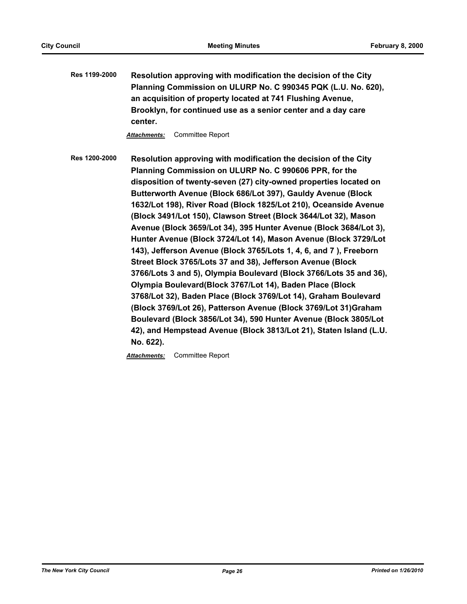**Res 1199-2000 Resolution approving with modification the decision of the City Planning Commission on ULURP No. C 990345 PQK (L.U. No. 620), an acquisition of property located at 741 Flushing Avenue, Brooklyn, for continued use as a senior center and a day care center.**

*Attachments:* Committee Report

**Res 1200-2000 Resolution approving with modification the decision of the City Planning Commission on ULURP No. C 990606 PPR, for the disposition of twenty-seven (27) city-owned properties located on Butterworth Avenue (Block 686/Lot 397), Gauldy Avenue (Block 1632/Lot 198), River Road (Block 1825/Lot 210), Oceanside Avenue (Block 3491/Lot 150), Clawson Street (Block 3644/Lot 32), Mason Avenue (Block 3659/Lot 34), 395 Hunter Avenue (Block 3684/Lot 3), Hunter Avenue (Block 3724/Lot 14), Mason Avenue (Block 3729/Lot 143), Jefferson Avenue (Block 3765/Lots 1, 4, 6, and 7 ), Freeborn Street Block 3765/Lots 37 and 38), Jefferson Avenue (Block 3766/Lots 3 and 5), Olympia Boulevard (Block 3766/Lots 35 and 36), Olympia Boulevard(Block 3767/Lot 14), Baden Place (Block 3768/Lot 32), Baden Place (Block 3769/Lot 14), Graham Boulevard (Block 3769/Lot 26), Patterson Avenue (Block 3769/Lot 31)Graham Boulevard (Block 3856/Lot 34), 590 Hunter Avenue (Block 3805/Lot 42), and Hempstead Avenue (Block 3813/Lot 21), Staten Island (L.U. No. 622).**

*Attachments:* Committee Report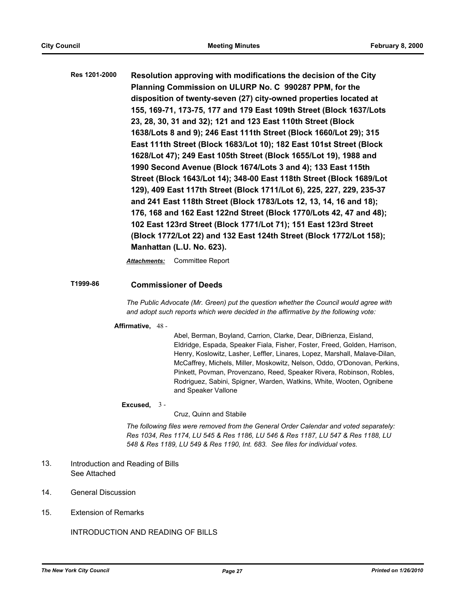**Res 1201-2000 Resolution approving with modifications the decision of the City Planning Commission on ULURP No. C 990287 PPM, for the disposition of twenty-seven (27) city-owned properties located at 155, 169-71, 173-75, 177 and 179 East 109th Street (Block 1637/Lots 23, 28, 30, 31 and 32); 121 and 123 East 110th Street (Block 1638/Lots 8 and 9); 246 East 111th Street (Block 1660/Lot 29); 315 East 111th Street (Block 1683/Lot 10); 182 East 101st Street (Block 1628/Lot 47); 249 East 105th Street (Block 1655/Lot 19), 1988 and 1990 Second Avenue (Block 1674/Lots 3 and 4); 133 East 115th Street (Block 1643/Lot 14); 348-00 East 118th Street (Block 1689/Lot 129), 409 East 117th Street (Block 1711/Lot 6), 225, 227, 229, 235-37 and 241 East 118th Street (Block 1783/Lots 12, 13, 14, 16 and 18); 176, 168 and 162 East 122nd Street (Block 1770/Lots 42, 47 and 48); 102 East 123rd Street (Block 1771/Lot 71); 151 East 123rd Street (Block 1772/Lot 22) and 132 East 124th Street (Block 1772/Lot 158); Manhattan (L.U. No. 623).**

*Attachments:* Committee Report

### **T1999-86 Commissioner of Deeds**

*The Public Advocate (Mr. Green) put the question whether the Council would agree with and adopt such reports which were decided in the affirmative by the following vote:*

#### **Affirmative,** 48 -

Abel, Berman, Boyland, Carrion, Clarke, Dear, DiBrienza, Eisland, Eldridge, Espada, Speaker Fiala, Fisher, Foster, Freed, Golden, Harrison, Henry, Koslowitz, Lasher, Leffler, Linares, Lopez, Marshall, Malave-Dilan, McCaffrey, Michels, Miller, Moskowitz, Nelson, Oddo, O'Donovan, Perkins, Pinkett, Povman, Provenzano, Reed, Speaker Rivera, Robinson, Robles, Rodriguez, Sabini, Spigner, Warden, Watkins, White, Wooten, Ognibene and Speaker Vallone

#### **Excused,** 3 -

Cruz, Quinn and Stabile

*The following files were removed from the General Order Calendar and voted separately: Res 1034, Res 1174, LU 545 & Res 1186, LU 546 & Res 1187, LU 547 & Res 1188, LU 548 & Res 1189, LU 549 & Res 1190, Int. 683. See files for individual votes.*

- Introduction and Reading of Bills See Attached 13.
- 14. General Discussion
- 15. Extension of Remarks

INTRODUCTION AND READING OF BILLS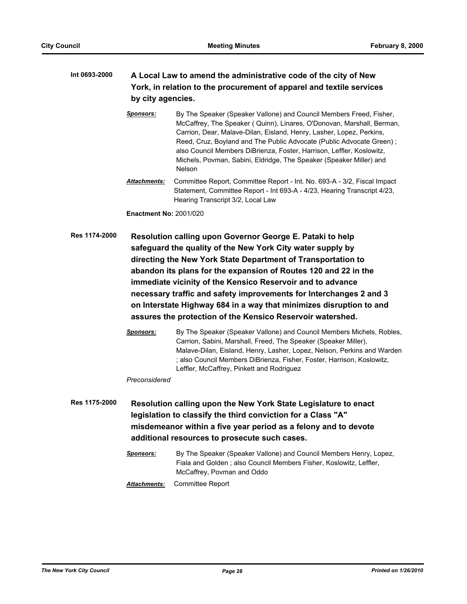# **Int 0693-2000 A Local Law to amend the administrative code of the city of New York, in relation to the procurement of apparel and textile services by city agencies.**

- *Sponsors:* By The Speaker (Speaker Vallone) and Council Members Freed, Fisher, McCaffrey, The Speaker ( Quinn), Linares, O'Donovan, Marshall, Berman, Carrion, Dear, Malave-Dilan, Eisland, Henry, Lasher, Lopez, Perkins, Reed, Cruz, Boyland and The Public Advocate (Public Advocate Green) ; also Council Members DiBrienza, Foster, Harrison, Leffler, Koslowitz, Michels, Povman, Sabini, Eldridge, The Speaker (Speaker Miller) and Nelson
- *Attachments:* Committee Report, Committee Report Int. No. 693-A 3/2, Fiscal Impact Statement, Committee Report - Int 693-A - 4/23, Hearing Transcript 4/23, Hearing Transcript 3/2, Local Law

**Enactment No:** 2001/020

- **Res 1174-2000 Resolution calling upon Governor George E. Pataki to help safeguard the quality of the New York City water supply by directing the New York State Department of Transportation to abandon its plans for the expansion of Routes 120 and 22 in the immediate vicinity of the Kensico Reservoir and to advance necessary traffic and safety improvements for Interchanges 2 and 3 on Interstate Highway 684 in a way that minimizes disruption to and assures the protection of the Kensico Reservoir watershed.**
	- *Sponsors:* By The Speaker (Speaker Vallone) and Council Members Michels, Robles, Carrion, Sabini, Marshall, Freed, The Speaker (Speaker Miller), Malave-Dilan, Eisland, Henry, Lasher, Lopez, Nelson, Perkins and Warden ; also Council Members DiBrienza, Fisher, Foster, Harrison, Koslowitz, Leffler, McCaffrey, Pinkett and Rodriguez

*Preconsidered*

- **Res 1175-2000 Resolution calling upon the New York State Legislature to enact legislation to classify the third conviction for a Class "A" misdemeanor within a five year period as a felony and to devote additional resources to prosecute such cases.**
	- *Sponsors:* By The Speaker (Speaker Vallone) and Council Members Henry, Lopez, Fiala and Golden ; also Council Members Fisher, Koslowitz, Leffler, McCaffrey, Povman and Oddo

*Attachments:* Committee Report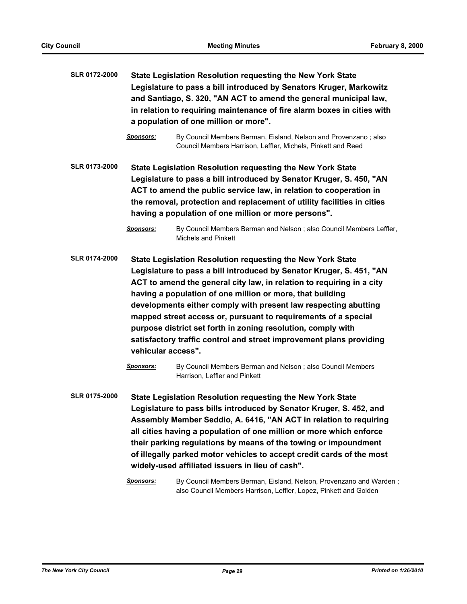| <b>SLR 0172-2000</b> | <b>State Legislation Resolution requesting the New York State</b><br>Legislature to pass a bill introduced by Senators Kruger, Markowitz<br>and Santiago, S. 320, "AN ACT to amend the general municipal law,<br>in relation to requiring maintenance of fire alarm boxes in cities with<br>a population of one million or more".                                                                                                                                                                                                                                                 |                                                                                                                                                                                                                                                                                                                                                                                                                                                                                      |  |
|----------------------|-----------------------------------------------------------------------------------------------------------------------------------------------------------------------------------------------------------------------------------------------------------------------------------------------------------------------------------------------------------------------------------------------------------------------------------------------------------------------------------------------------------------------------------------------------------------------------------|--------------------------------------------------------------------------------------------------------------------------------------------------------------------------------------------------------------------------------------------------------------------------------------------------------------------------------------------------------------------------------------------------------------------------------------------------------------------------------------|--|
|                      | <b>Sponsors:</b>                                                                                                                                                                                                                                                                                                                                                                                                                                                                                                                                                                  | By Council Members Berman, Eisland, Nelson and Provenzano; also<br>Council Members Harrison, Leffler, Michels, Pinkett and Reed                                                                                                                                                                                                                                                                                                                                                      |  |
| SLR 0173-2000        |                                                                                                                                                                                                                                                                                                                                                                                                                                                                                                                                                                                   | State Legislation Resolution requesting the New York State<br>Legislature to pass a bill introduced by Senator Kruger, S. 450, "AN<br>ACT to amend the public service law, in relation to cooperation in<br>the removal, protection and replacement of utility facilities in cities<br>having a population of one million or more persons".                                                                                                                                          |  |
|                      | <b>Sponsors:</b>                                                                                                                                                                                                                                                                                                                                                                                                                                                                                                                                                                  | By Council Members Berman and Nelson; also Council Members Leffler,<br>Michels and Pinkett                                                                                                                                                                                                                                                                                                                                                                                           |  |
| <b>SLR 0174-2000</b> | <b>State Legislation Resolution requesting the New York State</b><br>Legislature to pass a bill introduced by Senator Kruger, S. 451, "AN<br>ACT to amend the general city law, in relation to requiring in a city<br>having a population of one million or more, that building<br>developments either comply with present law respecting abutting<br>mapped street access or, pursuant to requirements of a special<br>purpose district set forth in zoning resolution, comply with<br>satisfactory traffic control and street improvement plans providing<br>vehicular access". |                                                                                                                                                                                                                                                                                                                                                                                                                                                                                      |  |
|                      | <b>Sponsors:</b>                                                                                                                                                                                                                                                                                                                                                                                                                                                                                                                                                                  | By Council Members Berman and Nelson; also Council Members<br>Harrison, Leffler and Pinkett                                                                                                                                                                                                                                                                                                                                                                                          |  |
| <b>SLR 0175-2000</b> |                                                                                                                                                                                                                                                                                                                                                                                                                                                                                                                                                                                   | <b>State Legislation Resolution requesting the New York State</b><br>Legislature to pass bills introduced by Senator Kruger, S. 452, and<br>Assembly Member Seddio, A. 6416, "AN ACT in relation to requiring<br>all cities having a population of one million or more which enforce<br>their parking regulations by means of the towing or impoundment<br>of illegally parked motor vehicles to accept credit cards of the most<br>widely-used affiliated issuers in lieu of cash". |  |
|                      | Sponsors:                                                                                                                                                                                                                                                                                                                                                                                                                                                                                                                                                                         | By Council Members Berman, Eisland, Nelson, Provenzano and Warden;<br>also Council Members Harrison, Leffler, Lopez, Pinkett and Golden                                                                                                                                                                                                                                                                                                                                              |  |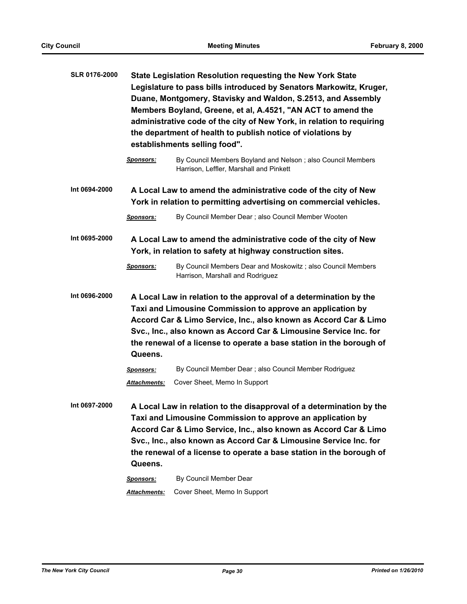| <b>SLR 0176-2000</b> | <b>State Legislation Resolution requesting the New York State</b><br>Legislature to pass bills introduced by Senators Markowitz, Kruger,<br>Duane, Montgomery, Stavisky and Waldon, S.2513, and Assembly<br>Members Boyland, Greene, et al, A.4521, "AN ACT to amend the<br>administrative code of the city of New York, in relation to requiring<br>the department of health to publish notice of violations by<br>establishments selling food". |                                                                                                                                                                                                                                                                                                                                                     |  |
|----------------------|---------------------------------------------------------------------------------------------------------------------------------------------------------------------------------------------------------------------------------------------------------------------------------------------------------------------------------------------------------------------------------------------------------------------------------------------------|-----------------------------------------------------------------------------------------------------------------------------------------------------------------------------------------------------------------------------------------------------------------------------------------------------------------------------------------------------|--|
|                      | <b>Sponsors:</b>                                                                                                                                                                                                                                                                                                                                                                                                                                  | By Council Members Boyland and Nelson; also Council Members<br>Harrison, Leffler, Marshall and Pinkett                                                                                                                                                                                                                                              |  |
| Int 0694-2000        | A Local Law to amend the administrative code of the city of New<br>York in relation to permitting advertising on commercial vehicles.                                                                                                                                                                                                                                                                                                             |                                                                                                                                                                                                                                                                                                                                                     |  |
|                      | <b>Sponsors:</b>                                                                                                                                                                                                                                                                                                                                                                                                                                  | By Council Member Dear ; also Council Member Wooten                                                                                                                                                                                                                                                                                                 |  |
| Int 0695-2000        | A Local Law to amend the administrative code of the city of New<br>York, in relation to safety at highway construction sites.                                                                                                                                                                                                                                                                                                                     |                                                                                                                                                                                                                                                                                                                                                     |  |
|                      | <b>Sponsors:</b>                                                                                                                                                                                                                                                                                                                                                                                                                                  | By Council Members Dear and Moskowitz ; also Council Members<br>Harrison, Marshall and Rodriguez                                                                                                                                                                                                                                                    |  |
| Int 0696-2000        | A Local Law in relation to the approval of a determination by the<br>Taxi and Limousine Commission to approve an application by<br>Accord Car & Limo Service, Inc., also known as Accord Car & Limo<br>Svc., Inc., also known as Accord Car & Limousine Service Inc. for<br>the renewal of a license to operate a base station in the borough of<br>Queens.                                                                                       |                                                                                                                                                                                                                                                                                                                                                     |  |
|                      | Sponsors:                                                                                                                                                                                                                                                                                                                                                                                                                                         | By Council Member Dear; also Council Member Rodriguez                                                                                                                                                                                                                                                                                               |  |
|                      | Attachments:                                                                                                                                                                                                                                                                                                                                                                                                                                      | Cover Sheet, Memo In Support                                                                                                                                                                                                                                                                                                                        |  |
| Int 0697-2000        | Queens.                                                                                                                                                                                                                                                                                                                                                                                                                                           | A Local Law in relation to the disapproval of a determination by the<br>Taxi and Limousine Commission to approve an application by<br>Accord Car & Limo Service, Inc., also known as Accord Car & Limo<br>Svc., Inc., also known as Accord Car & Limousine Service Inc. for<br>the renewal of a license to operate a base station in the borough of |  |
|                      | Sponsors:                                                                                                                                                                                                                                                                                                                                                                                                                                         | By Council Member Dear                                                                                                                                                                                                                                                                                                                              |  |
|                      | Attachments:                                                                                                                                                                                                                                                                                                                                                                                                                                      | Cover Sheet, Memo In Support                                                                                                                                                                                                                                                                                                                        |  |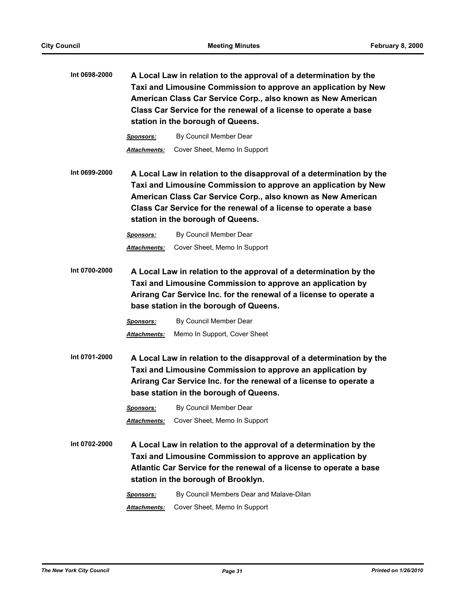| Int 0698-2000 | A Local Law in relation to the approval of a determination by the<br>Taxi and Limousine Commission to approve an application by New<br>American Class Car Service Corp., also known as New American<br>Class Car Service for the renewal of a license to operate a base<br>station in the borough of Queens. |                                                                                                                                                                                                                                                                                                                 |  |
|---------------|--------------------------------------------------------------------------------------------------------------------------------------------------------------------------------------------------------------------------------------------------------------------------------------------------------------|-----------------------------------------------------------------------------------------------------------------------------------------------------------------------------------------------------------------------------------------------------------------------------------------------------------------|--|
|               | <b>Sponsors:</b>                                                                                                                                                                                                                                                                                             | By Council Member Dear                                                                                                                                                                                                                                                                                          |  |
|               | Attachments:                                                                                                                                                                                                                                                                                                 | Cover Sheet, Memo In Support                                                                                                                                                                                                                                                                                    |  |
| Int 0699-2000 |                                                                                                                                                                                                                                                                                                              | A Local Law in relation to the disapproval of a determination by the<br>Taxi and Limousine Commission to approve an application by New<br>American Class Car Service Corp., also known as New American<br>Class Car Service for the renewal of a license to operate a base<br>station in the borough of Queens. |  |
|               | <b>Sponsors:</b>                                                                                                                                                                                                                                                                                             | By Council Member Dear                                                                                                                                                                                                                                                                                          |  |
|               | <b>Attachments:</b>                                                                                                                                                                                                                                                                                          | Cover Sheet, Memo In Support                                                                                                                                                                                                                                                                                    |  |
| Int 0700-2000 | A Local Law in relation to the approval of a determination by the<br>Taxi and Limousine Commission to approve an application by<br>Arirang Car Service Inc. for the renewal of a license to operate a<br>base station in the borough of Queens.                                                              |                                                                                                                                                                                                                                                                                                                 |  |
|               | <b>Sponsors:</b>                                                                                                                                                                                                                                                                                             | By Council Member Dear                                                                                                                                                                                                                                                                                          |  |
|               | Attachments:                                                                                                                                                                                                                                                                                                 | Memo In Support, Cover Sheet                                                                                                                                                                                                                                                                                    |  |
| Int 0701-2000 | A Local Law in relation to the disapproval of a determination by the<br>Taxi and Limousine Commission to approve an application by<br>Arirang Car Service Inc. for the renewal of a license to operate a<br>base station in the borough of Queens.                                                           |                                                                                                                                                                                                                                                                                                                 |  |
|               | <b>Sponsors:</b>                                                                                                                                                                                                                                                                                             | By Council Member Dear                                                                                                                                                                                                                                                                                          |  |
|               | <b>Attachments:</b>                                                                                                                                                                                                                                                                                          | Cover Sheet, Memo In Support                                                                                                                                                                                                                                                                                    |  |
| Int 0702-2000 |                                                                                                                                                                                                                                                                                                              | A Local Law in relation to the approval of a determination by the<br>Taxi and Limousine Commission to approve an application by<br>Atlantic Car Service for the renewal of a license to operate a base<br>station in the borough of Brooklyn.                                                                   |  |
|               | Sponsors:                                                                                                                                                                                                                                                                                                    | By Council Members Dear and Malave-Dilan                                                                                                                                                                                                                                                                        |  |
|               | <b>Attachments:</b>                                                                                                                                                                                                                                                                                          | Cover Sheet, Memo In Support                                                                                                                                                                                                                                                                                    |  |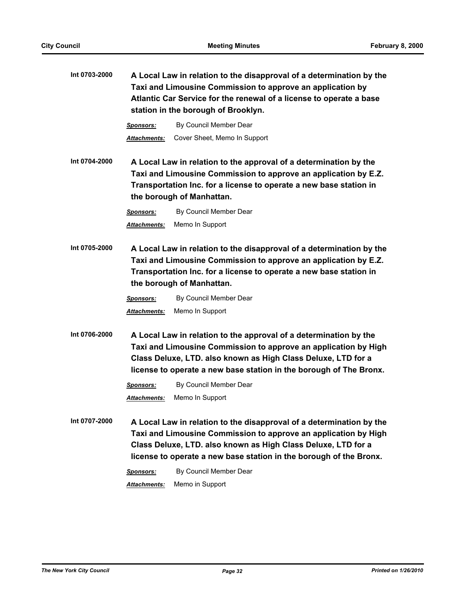| Int 0703-2000 | A Local Law in relation to the disapproval of a determination by the<br>Taxi and Limousine Commission to approve an application by<br>Atlantic Car Service for the renewal of a license to operate a base<br>station in the borough of Brooklyn. |                                                                                                                                                                                                                                                                                |  |
|---------------|--------------------------------------------------------------------------------------------------------------------------------------------------------------------------------------------------------------------------------------------------|--------------------------------------------------------------------------------------------------------------------------------------------------------------------------------------------------------------------------------------------------------------------------------|--|
|               | <u>Sponsors:</u>                                                                                                                                                                                                                                 | By Council Member Dear                                                                                                                                                                                                                                                         |  |
|               | <b>Attachments:</b>                                                                                                                                                                                                                              | Cover Sheet, Memo In Support                                                                                                                                                                                                                                                   |  |
| Int 0704-2000 |                                                                                                                                                                                                                                                  | A Local Law in relation to the approval of a determination by the<br>Taxi and Limousine Commission to approve an application by E.Z.<br>Transportation Inc. for a license to operate a new base station in<br>the borough of Manhattan.                                        |  |
|               | <b>Sponsors:</b>                                                                                                                                                                                                                                 | By Council Member Dear                                                                                                                                                                                                                                                         |  |
|               | Attachments:                                                                                                                                                                                                                                     | Memo In Support                                                                                                                                                                                                                                                                |  |
| Int 0705-2000 | A Local Law in relation to the disapproval of a determination by the<br>Taxi and Limousine Commission to approve an application by E.Z.<br>Transportation Inc. for a license to operate a new base station in<br>the borough of Manhattan.       |                                                                                                                                                                                                                                                                                |  |
|               | <b>Sponsors:</b>                                                                                                                                                                                                                                 | By Council Member Dear                                                                                                                                                                                                                                                         |  |
|               | Attachments:                                                                                                                                                                                                                                     | Memo In Support                                                                                                                                                                                                                                                                |  |
| Int 0706-2000 |                                                                                                                                                                                                                                                  | A Local Law in relation to the approval of a determination by the<br>Taxi and Limousine Commission to approve an application by High<br>Class Deluxe, LTD. also known as High Class Deluxe, LTD for a<br>license to operate a new base station in the borough of The Bronx.    |  |
|               | <u>Sponsors:</u>                                                                                                                                                                                                                                 | By Council Member Dear                                                                                                                                                                                                                                                         |  |
|               | <b>Attachments:</b>                                                                                                                                                                                                                              | Memo In Support                                                                                                                                                                                                                                                                |  |
| Int 0707-2000 |                                                                                                                                                                                                                                                  | A Local Law in relation to the disapproval of a determination by the<br>Taxi and Limousine Commission to approve an application by High<br>Class Deluxe, LTD. also known as High Class Deluxe, LTD for a<br>license to operate a new base station in the borough of the Bronx. |  |

*Sponsors:* By Council Member Dear

*Attachments:* Memo in Support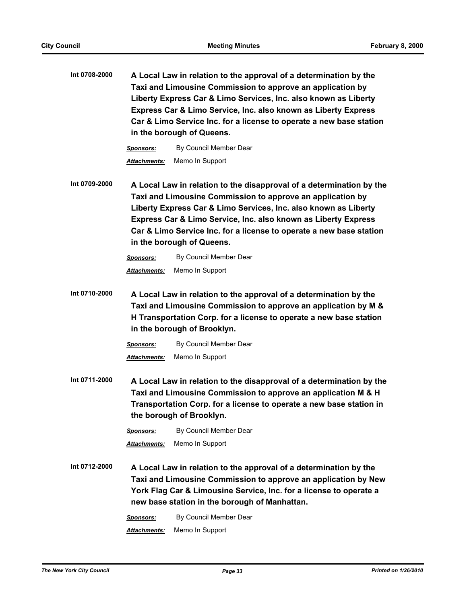| Int 0708-2000 | A Local Law in relation to the approval of a determination by the   |
|---------------|---------------------------------------------------------------------|
|               | Taxi and Limousine Commission to approve an application by          |
|               | Liberty Express Car & Limo Services, Inc. also known as Liberty     |
|               | Express Car & Limo Service, Inc. also known as Liberty Express      |
|               | Car & Limo Service Inc. for a license to operate a new base station |
|               | in the borough of Queens.                                           |
|               |                                                                     |

*Sponsors:* By Council Member Dear *Attachments:* Memo In Support

**Int 0709-2000 A Local Law in relation to the disapproval of a determination by the Taxi and Limousine Commission to approve an application by Liberty Express Car & Limo Services, Inc. also known as Liberty Express Car & Limo Service, Inc. also known as Liberty Express Car & Limo Service Inc. for a license to operate a new base station in the borough of Queens.**

> *Sponsors:* By Council Member Dear *Attachments:* Memo In Support

**Int 0710-2000 A Local Law in relation to the approval of a determination by the Taxi and Limousine Commission to approve an application by M & H Transportation Corp. for a license to operate a new base station in the borough of Brooklyn.**

> *Sponsors:* By Council Member Dear *Attachments:* Memo In Support

**Int 0711-2000 A Local Law in relation to the disapproval of a determination by the Taxi and Limousine Commission to approve an application M & H Transportation Corp. for a license to operate a new base station in the borough of Brooklyn.**

> *Sponsors:* By Council Member Dear *Attachments:* Memo In Support

**Int 0712-2000 A Local Law in relation to the approval of a determination by the Taxi and Limousine Commission to approve an application by New York Flag Car & Limousine Service, Inc. for a license to operate a new base station in the borough of Manhattan.**

> *Sponsors:* By Council Member Dear *Attachments:* Memo In Support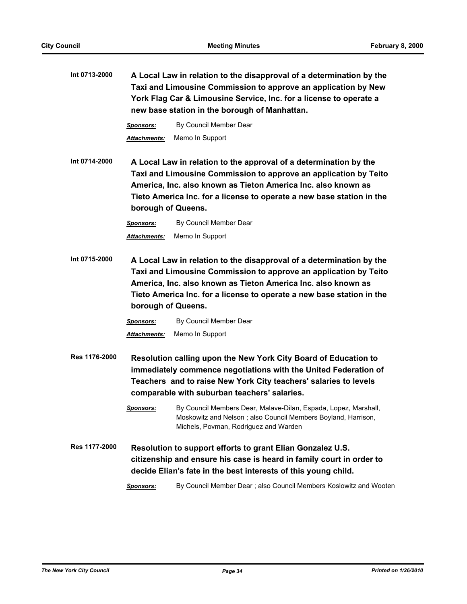| Int 0713-2000        | A Local Law in relation to the disapproval of a determination by the<br>Taxi and Limousine Commission to approve an application by New<br>York Flag Car & Limousine Service, Inc. for a license to operate a<br>new base station in the borough of Manhattan.                                            |                                                                                                                                                                                                      |  |
|----------------------|----------------------------------------------------------------------------------------------------------------------------------------------------------------------------------------------------------------------------------------------------------------------------------------------------------|------------------------------------------------------------------------------------------------------------------------------------------------------------------------------------------------------|--|
|                      | <b>Sponsors:</b>                                                                                                                                                                                                                                                                                         | By Council Member Dear                                                                                                                                                                               |  |
|                      | Attachments:                                                                                                                                                                                                                                                                                             | Memo In Support                                                                                                                                                                                      |  |
| Int 0714-2000        | A Local Law in relation to the approval of a determination by the<br>Taxi and Limousine Commission to approve an application by Teito<br>America, Inc. also known as Tieton America Inc. also known as<br>Tieto America Inc. for a license to operate a new base station in the<br>borough of Queens.    |                                                                                                                                                                                                      |  |
|                      | <b>Sponsors:</b>                                                                                                                                                                                                                                                                                         | By Council Member Dear                                                                                                                                                                               |  |
|                      | <b>Attachments:</b>                                                                                                                                                                                                                                                                                      | Memo In Support                                                                                                                                                                                      |  |
| Int 0715-2000        | A Local Law in relation to the disapproval of a determination by the<br>Taxi and Limousine Commission to approve an application by Teito<br>America, Inc. also known as Tieton America Inc. also known as<br>Tieto America Inc. for a license to operate a new base station in the<br>borough of Queens. |                                                                                                                                                                                                      |  |
|                      | <b>Sponsors:</b>                                                                                                                                                                                                                                                                                         | By Council Member Dear                                                                                                                                                                               |  |
|                      | <b>Attachments:</b>                                                                                                                                                                                                                                                                                      | Memo In Support                                                                                                                                                                                      |  |
| Res 1176-2000        | Resolution calling upon the New York City Board of Education to<br>immediately commence negotiations with the United Federation of<br>Teachers and to raise New York City teachers' salaries to levels<br>comparable with suburban teachers' salaries.                                                   |                                                                                                                                                                                                      |  |
|                      | <b>Sponsors:</b>                                                                                                                                                                                                                                                                                         | By Council Members Dear, Malave-Dilan, Espada, Lopez, Marshall,<br>Moskowitz and Nelson; also Council Members Boyland, Harrison,<br>Michels, Povman, Rodriguez and Warden                            |  |
| <b>Res 1177-2000</b> |                                                                                                                                                                                                                                                                                                          | Resolution to support efforts to grant Elian Gonzalez U.S.<br>citizenship and ensure his case is heard in family court in order to<br>decide Elian's fate in the best interests of this young child. |  |
|                      | <b>Sponsors:</b>                                                                                                                                                                                                                                                                                         | By Council Member Dear; also Council Members Koslowitz and Wooten                                                                                                                                    |  |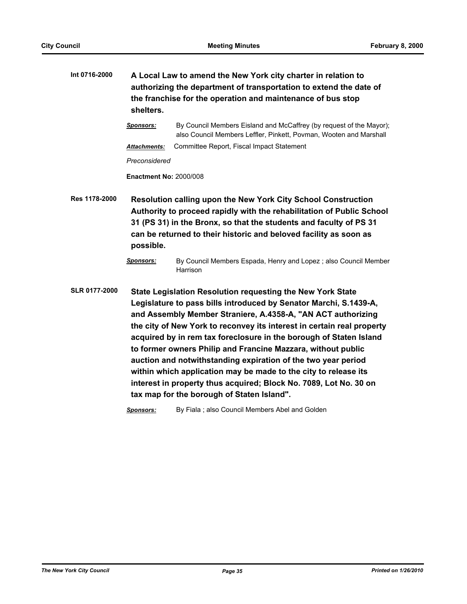| Int 0716-2000 | A Local Law to amend the New York city charter in relation to      |
|---------------|--------------------------------------------------------------------|
|               | authorizing the department of transportation to extend the date of |
|               | the franchise for the operation and maintenance of bus stop        |
|               | shelters.                                                          |

| Sponsors:    | By Council Members Eisland and McCaffrey (by request of the Mayor);<br>also Council Members Leffler, Pinkett, Poyman, Wooten and Marshall |
|--------------|-------------------------------------------------------------------------------------------------------------------------------------------|
| Attachments: | Committee Report, Fiscal Impact Statement                                                                                                 |

*Preconsidered*

**Enactment No:** 2000/008

**Res 1178-2000 Resolution calling upon the New York City School Construction Authority to proceed rapidly with the rehabilitation of Public School 31 (PS 31) in the Bronx, so that the students and faculty of PS 31 can be returned to their historic and beloved facility as soon as possible.**

*Sponsors:* By Fiala ; also Council Members Abel and Golden

*Sponsors:* By Council Members Espada, Henry and Lopez ; also Council Member Harrison

**SLR 0177-2000 State Legislation Resolution requesting the New York State Legislature to pass bills introduced by Senator Marchi, S.1439-A, and Assembly Member Straniere, A.4358-A, "AN ACT authorizing the city of New York to reconvey its interest in certain real property acquired by in rem tax foreclosure in the borough of Staten Island to former owners Philip and Francine Mazzara, without public auction and notwithstanding expiration of the two year period within which application may be made to the city to release its interest in property thus acquired; Block No. 7089, Lot No. 30 on tax map for the borough of Staten Island".**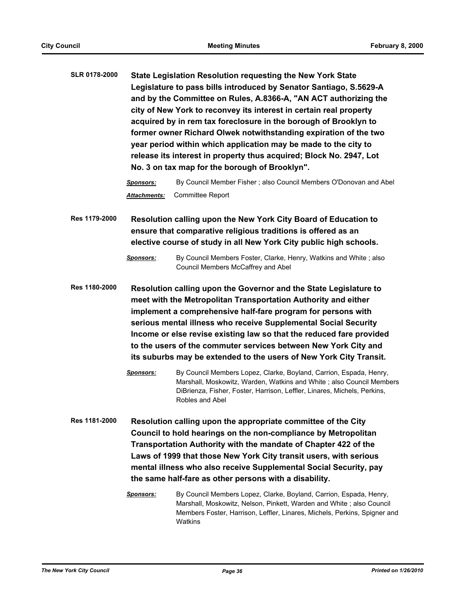**SLR 0178-2000 State Legislation Resolution requesting the New York State Legislature to pass bills introduced by Senator Santiago, S.5629-A and by the Committee on Rules, A.8366-A, "AN ACT authorizing the city of New York to reconvey its interest in certain real property acquired by in rem tax foreclosure in the borough of Brooklyn to former owner Richard Olwek notwithstanding expiration of the two year period within which application may be made to the city to release its interest in property thus acquired; Block No. 2947, Lot No. 3 on tax map for the borough of Brooklyn".**

> *Sponsors:* By Council Member Fisher ; also Council Members O'Donovan and Abel *Attachments:* Committee Report

**Res 1179-2000 Resolution calling upon the New York City Board of Education to ensure that comparative religious traditions is offered as an elective course of study in all New York City public high schools.**

**Res 1180-2000 Resolution calling upon the Governor and the State Legislature to meet with the Metropolitan Transportation Authority and either implement a comprehensive half-fare program for persons with serious mental illness who receive Supplemental Social Security Income or else revise existing law so that the reduced fare provided to the users of the commuter services between New York City and its suburbs may be extended to the users of New York City Transit.**

- *Sponsors:* By Council Members Lopez, Clarke, Boyland, Carrion, Espada, Henry, Marshall, Moskowitz, Warden, Watkins and White ; also Council Members DiBrienza, Fisher, Foster, Harrison, Leffler, Linares, Michels, Perkins, Robles and Abel
- **Res 1181-2000 Resolution calling upon the appropriate committee of the City Council to hold hearings on the non-compliance by Metropolitan Transportation Authority with the mandate of Chapter 422 of the Laws of 1999 that those New York City transit users, with serious mental illness who also receive Supplemental Social Security, pay the same half-fare as other persons with a disability.**

*Sponsors:* By Council Members Lopez, Clarke, Boyland, Carrion, Espada, Henry, Marshall, Moskowitz, Nelson, Pinkett, Warden and White ; also Council Members Foster, Harrison, Leffler, Linares, Michels, Perkins, Spigner and Watkins

*Sponsors:* By Council Members Foster, Clarke, Henry, Watkins and White ; also Council Members McCaffrey and Abel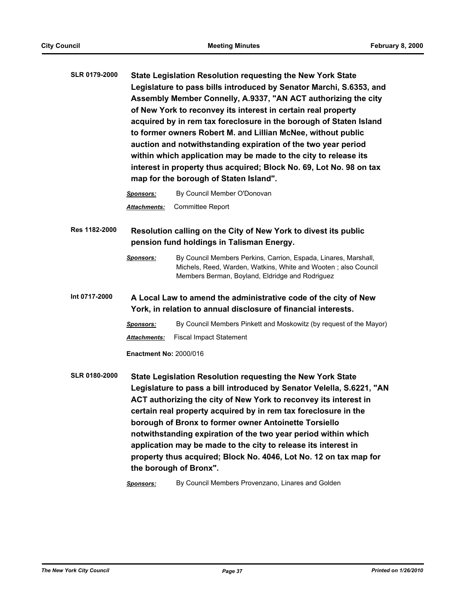| <b>SLR 0179-2000</b> | State Legislation Resolution requesting the New York State          |
|----------------------|---------------------------------------------------------------------|
|                      | Legislature to pass bills introduced by Senator Marchi, S.6353, and |
|                      | Assembly Member Connelly, A.9337, "AN ACT authorizing the city      |
|                      | of New York to reconvey its interest in certain real property       |
|                      | acquired by in rem tax foreclosure in the borough of Staten Island  |
|                      | to former owners Robert M. and Lillian McNee, without public        |
|                      | auction and notwithstanding expiration of the two year period       |
|                      | within which application may be made to the city to release its     |
|                      | interest in property thus acquired; Block No. 69, Lot No. 98 on tax |
|                      | map for the borough of Staten Island".                              |

*Sponsors:* By Council Member O'Donovan *Attachments:* Committee Report

**Res 1182-2000 Resolution calling on the City of New York to divest its public pension fund holdings in Talisman Energy.**

**Int 0717-2000 A Local Law to amend the administrative code of the city of New York, in relation to annual disclosure of financial interests.**

*Sponsors:* By Council Members Pinkett and Moskowitz (by request of the Mayor)

*Attachments:* Fiscal Impact Statement

**Enactment No:** 2000/016

**SLR 0180-2000 State Legislation Resolution requesting the New York State Legislature to pass a bill introduced by Senator Velella, S.6221, "AN ACT authorizing the city of New York to reconvey its interest in certain real property acquired by in rem tax foreclosure in the borough of Bronx to former owner Antoinette Torsiello notwithstanding expiration of the two year period within which application may be made to the city to release its interest in property thus acquired; Block No. 4046, Lot No. 12 on tax map for the borough of Bronx".**

*Sponsors:* By Council Members Provenzano, Linares and Golden

*Sponsors:* By Council Members Perkins, Carrion, Espada, Linares, Marshall, Michels, Reed, Warden, Watkins, White and Wooten ; also Council Members Berman, Boyland, Eldridge and Rodriguez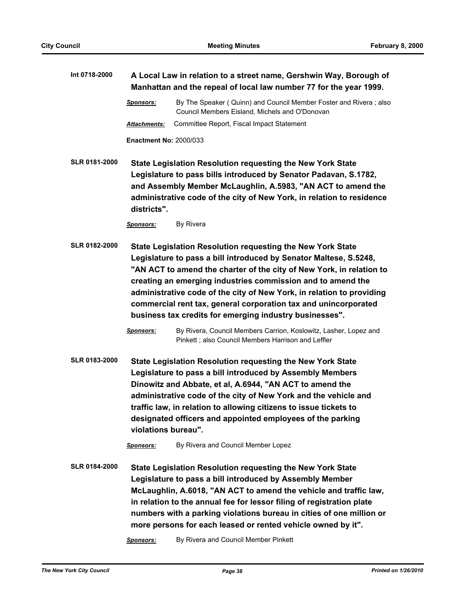| Int 0718-2000        | A Local Law in relation to a street name, Gershwin Way, Borough of<br>Manhattan and the repeal of local law number 77 for the year 1999.                                                                                                                                                                                                                                                                                                                                      |                                                                                                                                                                                                                                                                                                                                                                                                                                                             |  |
|----------------------|-------------------------------------------------------------------------------------------------------------------------------------------------------------------------------------------------------------------------------------------------------------------------------------------------------------------------------------------------------------------------------------------------------------------------------------------------------------------------------|-------------------------------------------------------------------------------------------------------------------------------------------------------------------------------------------------------------------------------------------------------------------------------------------------------------------------------------------------------------------------------------------------------------------------------------------------------------|--|
|                      | <u>Sponsors:</u>                                                                                                                                                                                                                                                                                                                                                                                                                                                              | By The Speaker (Quinn) and Council Member Foster and Rivera; also<br>Council Members Eisland, Michels and O'Donovan                                                                                                                                                                                                                                                                                                                                         |  |
|                      | Attachments:                                                                                                                                                                                                                                                                                                                                                                                                                                                                  | Committee Report, Fiscal Impact Statement                                                                                                                                                                                                                                                                                                                                                                                                                   |  |
|                      | <b>Enactment No: 2000/033</b>                                                                                                                                                                                                                                                                                                                                                                                                                                                 |                                                                                                                                                                                                                                                                                                                                                                                                                                                             |  |
| <b>SLR 0181-2000</b> | State Legislation Resolution requesting the New York State<br>Legislature to pass bills introduced by Senator Padavan, S.1782,<br>and Assembly Member McLaughlin, A.5983, "AN ACT to amend the<br>administrative code of the city of New York, in relation to residence<br>districts".                                                                                                                                                                                        |                                                                                                                                                                                                                                                                                                                                                                                                                                                             |  |
|                      | <b>Sponsors:</b>                                                                                                                                                                                                                                                                                                                                                                                                                                                              | By Rivera                                                                                                                                                                                                                                                                                                                                                                                                                                                   |  |
| <b>SLR 0182-2000</b> | State Legislation Resolution requesting the New York State<br>Legislature to pass a bill introduced by Senator Maltese, S.5248,<br>"AN ACT to amend the charter of the city of New York, in relation to<br>creating an emerging industries commission and to amend the<br>administrative code of the city of New York, in relation to providing<br>commercial rent tax, general corporation tax and unincorporated<br>business tax credits for emerging industry businesses". |                                                                                                                                                                                                                                                                                                                                                                                                                                                             |  |
|                      | Sponsors:                                                                                                                                                                                                                                                                                                                                                                                                                                                                     | By Rivera, Council Members Carrion, Koslowitz, Lasher, Lopez and<br>Pinkett; also Council Members Harrison and Leffler                                                                                                                                                                                                                                                                                                                                      |  |
| <b>SLR 0183-2000</b> | <b>State Legislation Resolution requesting the New York State</b><br>Legislature to pass a bill introduced by Assembly Members<br>Dinowitz and Abbate, et al, A.6944, "AN ACT to amend the<br>administrative code of the city of New York and the vehicle and<br>traffic law, in relation to allowing citizens to issue tickets to<br>designated officers and appointed employees of the parking<br>violations bureau".                                                       |                                                                                                                                                                                                                                                                                                                                                                                                                                                             |  |
|                      | <u>Sponsors:</u>                                                                                                                                                                                                                                                                                                                                                                                                                                                              | By Rivera and Council Member Lopez                                                                                                                                                                                                                                                                                                                                                                                                                          |  |
| <b>SLR 0184-2000</b> | <b>Sponsors:</b>                                                                                                                                                                                                                                                                                                                                                                                                                                                              | <b>State Legislation Resolution requesting the New York State</b><br>Legislature to pass a bill introduced by Assembly Member<br>McLaughlin, A.6018, "AN ACT to amend the vehicle and traffic law,<br>in relation to the annual fee for lessor filing of registration plate<br>numbers with a parking violations bureau in cities of one million or<br>more persons for each leased or rented vehicle owned by it".<br>By Rivera and Council Member Pinkett |  |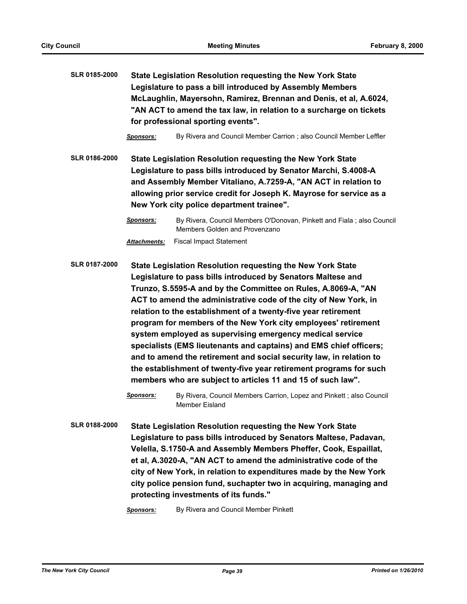| <b>SLR 0185-2000</b> | State Legislation Resolution requesting the New York State<br>Legislature to pass a bill introduced by Assembly Members<br>McLaughlin, Mayersohn, Ramirez, Brennan and Denis, et al, A.6024,<br>"AN ACT to amend the tax law, in relation to a surcharge on tickets<br>for professional sporting events".                                                                                                                                                                                                                                                                                                    |                                                                                                        |  |
|----------------------|--------------------------------------------------------------------------------------------------------------------------------------------------------------------------------------------------------------------------------------------------------------------------------------------------------------------------------------------------------------------------------------------------------------------------------------------------------------------------------------------------------------------------------------------------------------------------------------------------------------|--------------------------------------------------------------------------------------------------------|--|
|                      | <b>Sponsors:</b>                                                                                                                                                                                                                                                                                                                                                                                                                                                                                                                                                                                             | By Rivera and Council Member Carrion; also Council Member Leffler                                      |  |
| SLR 0186-2000        | State Legislation Resolution requesting the New York State<br>Legislature to pass bills introduced by Senator Marchi, S.4008-A<br>and Assembly Member Vitaliano, A.7259-A, "AN ACT in relation to<br>allowing prior service credit for Joseph K. Mayrose for service as a<br>New York city police department trainee".                                                                                                                                                                                                                                                                                       |                                                                                                        |  |
|                      | Sponsors:                                                                                                                                                                                                                                                                                                                                                                                                                                                                                                                                                                                                    | By Rivera, Council Members O'Donovan, Pinkett and Fiala; also Council<br>Members Golden and Provenzano |  |
|                      | Attachments:                                                                                                                                                                                                                                                                                                                                                                                                                                                                                                                                                                                                 | <b>Fiscal Impact Statement</b>                                                                         |  |
| <b>SLR 0187-2000</b> | State Legislation Resolution requesting the New York State<br>Legislature to pass bills introduced by Senators Maltese and<br>Trunzo, S.5595-A and by the Committee on Rules, A.8069-A, "AN<br>ACT to amend the administrative code of the city of New York, in<br>relation to the establishment of a twenty-five year retirement<br>program for members of the New York city employees' retirement<br>system employed as supervising emergency medical service<br>specialists (EMS lieutenants and captains) and EMS chief officers;<br>and to amend the retirement and social security law, in relation to |                                                                                                        |  |

*Sponsors:* By Rivera, Council Members Carrion, Lopez and Pinkett ; also Council Member Eisland

**members who are subject to articles 11 and 15 of such law".**

**the establishment of twenty-five year retirement programs for such** 

**SLR 0188-2000 State Legislation Resolution requesting the New York State Legislature to pass bills introduced by Senators Maltese, Padavan, Velella, S.1750-A and Assembly Members Pheffer, Cook, Espaillat, et al, A.3020-A, "AN ACT to amend the administrative code of the city of New York, in relation to expenditures made by the New York city police pension fund, suchapter two in acquiring, managing and protecting investments of its funds."**

*Sponsors:* By Rivera and Council Member Pinkett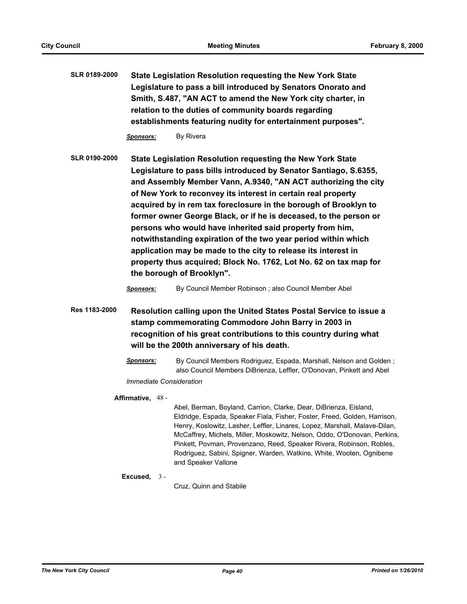**SLR 0189-2000 State Legislation Resolution requesting the New York State Legislature to pass a bill introduced by Senators Onorato and Smith, S.487, "AN ACT to amend the New York city charter, in relation to the duties of community boards regarding establishments featuring nudity for entertainment purposes".**

*Sponsors:* By Rivera

**SLR 0190-2000 State Legislation Resolution requesting the New York State Legislature to pass bills introduced by Senator Santiago, S.6355, and Assembly Member Vann, A.9340, "AN ACT authorizing the city of New York to reconvey its interest in certain real property acquired by in rem tax foreclosure in the borough of Brooklyn to former owner George Black, or if he is deceased, to the person or persons who would have inherited said property from him, notwithstanding expiration of the two year period within which application may be made to the city to release its interest in property thus acquired; Block No. 1762, Lot No. 62 on tax map for the borough of Brooklyn".**

*Sponsors:* By Council Member Robinson ; also Council Member Abel

**Res 1183-2000 Resolution calling upon the United States Postal Service to issue a stamp commemorating Commodore John Barry in 2003 in recognition of his great contributions to this country during what will be the 200th anniversary of his death.**

> *Sponsors:* By Council Members Rodriguez, Espada, Marshall, Nelson and Golden ; also Council Members DiBrienza, Leffler, O'Donovan, Pinkett and Abel

*Immediate Consideration*

# **Affirmative,** 48 -

Abel, Berman, Boyland, Carrion, Clarke, Dear, DiBrienza, Eisland, Eldridge, Espada, Speaker Fiala, Fisher, Foster, Freed, Golden, Harrison, Henry, Koslowitz, Lasher, Leffler, Linares, Lopez, Marshall, Malave-Dilan, McCaffrey, Michels, Miller, Moskowitz, Nelson, Oddo, O'Donovan, Perkins, Pinkett, Povman, Provenzano, Reed, Speaker Rivera, Robinson, Robles, Rodriguez, Sabini, Spigner, Warden, Watkins, White, Wooten, Ognibene and Speaker Vallone

# **Excused,** 3 -

Cruz, Quinn and Stabile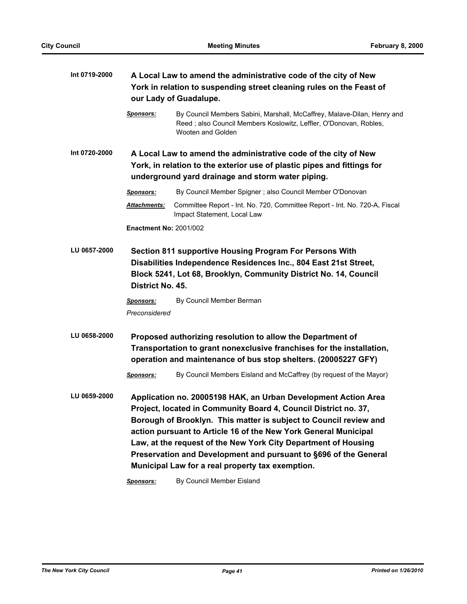| Int 0719-2000 | A Local Law to amend the administrative code of the city of New<br>York in relation to suspending street cleaning rules on the Feast of<br>our Lady of Guadalupe.                                                                                                                                                                                                                                                                                                   |                                                                                                                                                                   |  |
|---------------|---------------------------------------------------------------------------------------------------------------------------------------------------------------------------------------------------------------------------------------------------------------------------------------------------------------------------------------------------------------------------------------------------------------------------------------------------------------------|-------------------------------------------------------------------------------------------------------------------------------------------------------------------|--|
|               | <b>Sponsors:</b>                                                                                                                                                                                                                                                                                                                                                                                                                                                    | By Council Members Sabini, Marshall, McCaffrey, Malave-Dilan, Henry and<br>Reed; also Council Members Koslowitz, Leffler, O'Donovan, Robles,<br>Wooten and Golden |  |
| Int 0720-2000 | A Local Law to amend the administrative code of the city of New<br>York, in relation to the exterior use of plastic pipes and fittings for                                                                                                                                                                                                                                                                                                                          |                                                                                                                                                                   |  |
|               | underground yard drainage and storm water piping.                                                                                                                                                                                                                                                                                                                                                                                                                   |                                                                                                                                                                   |  |
|               | <b>Sponsors:</b>                                                                                                                                                                                                                                                                                                                                                                                                                                                    | By Council Member Spigner ; also Council Member O'Donovan                                                                                                         |  |
|               | <b>Attachments:</b>                                                                                                                                                                                                                                                                                                                                                                                                                                                 | Committee Report - Int. No. 720, Committee Report - Int. No. 720-A, Fiscal<br>Impact Statement, Local Law                                                         |  |
|               | <b>Enactment No: 2001/002</b>                                                                                                                                                                                                                                                                                                                                                                                                                                       |                                                                                                                                                                   |  |
| LU 0657-2000  | Section 811 supportive Housing Program For Persons With<br>Disabilities Independence Residences Inc., 804 East 21st Street,<br>Block 5241, Lot 68, Brooklyn, Community District No. 14, Council<br>District No. 45.<br>By Council Member Berman<br><b>Sponsors:</b>                                                                                                                                                                                                 |                                                                                                                                                                   |  |
|               | Preconsidered                                                                                                                                                                                                                                                                                                                                                                                                                                                       |                                                                                                                                                                   |  |
| LU 0658-2000  | Proposed authorizing resolution to allow the Department of<br>Transportation to grant nonexclusive franchises for the installation,<br>operation and maintenance of bus stop shelters. (20005227 GFY)                                                                                                                                                                                                                                                               |                                                                                                                                                                   |  |
|               | <b>Sponsors:</b>                                                                                                                                                                                                                                                                                                                                                                                                                                                    | By Council Members Eisland and McCaffrey (by request of the Mayor)                                                                                                |  |
| LU 0659-2000  | Application no. 20005198 HAK, an Urban Development Action Area<br>Project, located in Community Board 4, Council District no. 37,<br>Borough of Brooklyn. This matter is subject to Council review and<br>action pursuant to Article 16 of the New York General Municipal<br>Law, at the request of the New York City Department of Housing<br>Preservation and Development and pursuant to §696 of the General<br>Municipal Law for a real property tax exemption. |                                                                                                                                                                   |  |

**Sponsors:** By Council Member Eisland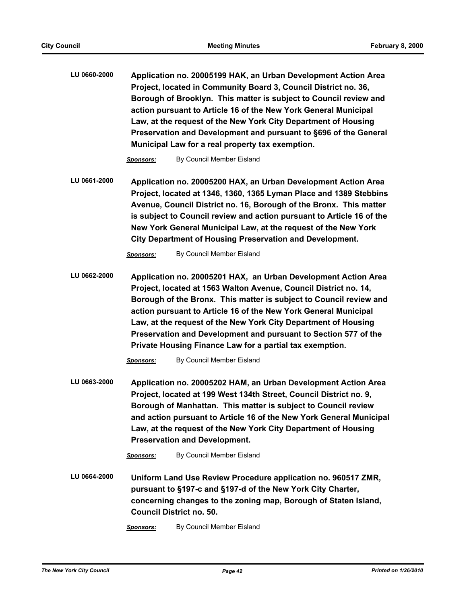**LU 0660-2000 Application no. 20005199 HAK, an Urban Development Action Area Project, located in Community Board 3, Council District no. 36, Borough of Brooklyn. This matter is subject to Council review and action pursuant to Article 16 of the New York General Municipal Law, at the request of the New York City Department of Housing Preservation and Development and pursuant to §696 of the General Municipal Law for a real property tax exemption.**

*Sponsors:* By Council Member Eisland

**LU 0661-2000 Application no. 20005200 HAX, an Urban Development Action Area Project, located at 1346, 1360, 1365 Lyman Place and 1389 Stebbins Avenue, Council District no. 16, Borough of the Bronx. This matter is subject to Council review and action pursuant to Article 16 of the New York General Municipal Law, at the request of the New York City Department of Housing Preservation and Development.**

*Sponsors:* By Council Member Eisland

**LU 0662-2000 Application no. 20005201 HAX, an Urban Development Action Area Project, located at 1563 Walton Avenue, Council District no. 14, Borough of the Bronx. This matter is subject to Council review and action pursuant to Article 16 of the New York General Municipal Law, at the request of the New York City Department of Housing Preservation and Development and pursuant to Section 577 of the Private Housing Finance Law for a partial tax exemption.**

*Sponsors:* By Council Member Eisland

**LU 0663-2000 Application no. 20005202 HAM, an Urban Development Action Area Project, located at 199 West 134th Street, Council District no. 9, Borough of Manhattan. This matter is subject to Council review and action pursuant to Article 16 of the New York General Municipal Law, at the request of the New York City Department of Housing Preservation and Development.**

*Sponsors:* By Council Member Eisland

**LU 0664-2000 Uniform Land Use Review Procedure application no. 960517 ZMR, pursuant to §197-c and §197-d of the New York City Charter, concerning changes to the zoning map, Borough of Staten Island, Council District no. 50.**

*Sponsors:* By Council Member Eisland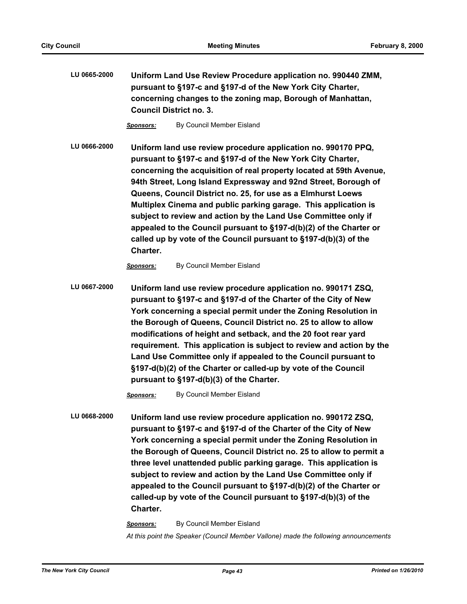**LU 0665-2000 Uniform Land Use Review Procedure application no. 990440 ZMM, pursuant to §197-c and §197-d of the New York City Charter, concerning changes to the zoning map, Borough of Manhattan, Council District no. 3.**

*Sponsors:* By Council Member Eisland

**LU 0666-2000 Uniform land use review procedure application no. 990170 PPQ, pursuant to §197-c and §197-d of the New York City Charter, concerning the acquisition of real property located at 59th Avenue, 94th Street, Long Island Expressway and 92nd Street, Borough of Queens, Council District no. 25, for use as a Elmhurst Loews Multiplex Cinema and public parking garage. This application is subject to review and action by the Land Use Committee only if appealed to the Council pursuant to §197-d(b)(2) of the Charter or called up by vote of the Council pursuant to §197-d(b)(3) of the Charter.**

**Sponsors:** By Council Member Eisland

**LU 0667-2000 Uniform land use review procedure application no. 990171 ZSQ, pursuant to §197-c and §197-d of the Charter of the City of New York concerning a special permit under the Zoning Resolution in the Borough of Queens, Council District no. 25 to allow to allow modifications of height and setback, and the 20 foot rear yard requirement. This application is subject to review and action by the Land Use Committee only if appealed to the Council pursuant to §197-d(b)(2) of the Charter or called-up by vote of the Council pursuant to §197-d(b)(3) of the Charter.**

*Sponsors:* By Council Member Eisland

**LU 0668-2000 Uniform land use review procedure application no. 990172 ZSQ, pursuant to §197-c and §197-d of the Charter of the City of New York concerning a special permit under the Zoning Resolution in the Borough of Queens, Council District no. 25 to allow to permit a three level unattended public parking garage. This application is subject to review and action by the Land Use Committee only if appealed to the Council pursuant to §197-d(b)(2) of the Charter or called-up by vote of the Council pursuant to §197-d(b)(3) of the Charter.**

> *Sponsors:* By Council Member Eisland *At this point the Speaker (Council Member Vallone) made the following announcements*